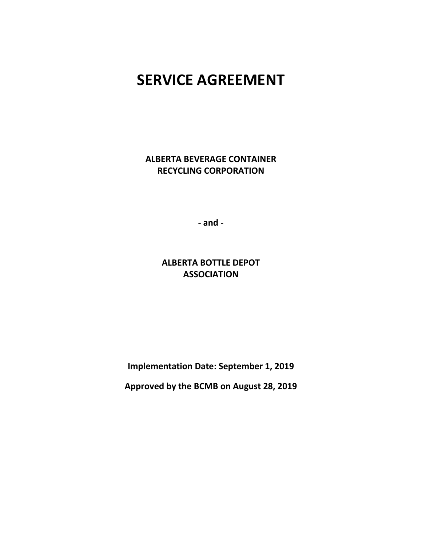# **SERVICE AGREEMENT**

**ALBERTA BEVERAGE CONTAINER RECYCLING CORPORATION**

**- and -**

**ALBERTA BOTTLE DEPOT ASSOCIATION**

**Implementation Date: September 1, 2019**

**Approved by the BCMB on August 28, 2019**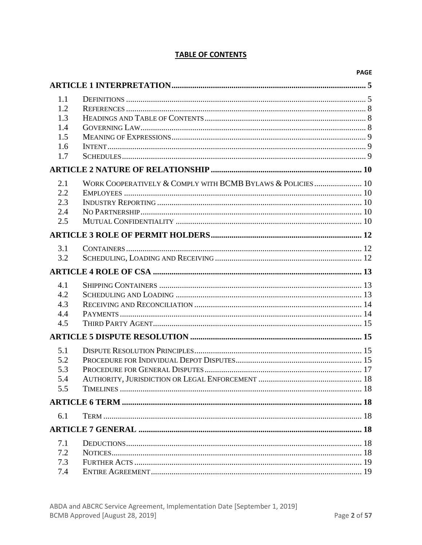# **TABLE OF CONTENTS**

|     |                                                            | <b>PAGE</b> |
|-----|------------------------------------------------------------|-------------|
|     |                                                            |             |
| 1.1 |                                                            |             |
| 1.2 |                                                            |             |
| 1.3 |                                                            |             |
| 1.4 |                                                            |             |
| 1.5 |                                                            |             |
| 1.6 |                                                            |             |
| 1.7 |                                                            |             |
|     |                                                            |             |
| 2.1 | WORK COOPERATIVELY & COMPLY WITH BCMB BYLAWS & POLICIES 10 |             |
| 2.2 |                                                            |             |
| 2.3 |                                                            |             |
| 2.4 |                                                            |             |
| 2.5 |                                                            |             |
|     |                                                            |             |
| 3.1 |                                                            |             |
| 3.2 |                                                            |             |
|     |                                                            |             |
| 4.1 |                                                            |             |
| 4.2 |                                                            |             |
| 4.3 |                                                            |             |
| 4.4 |                                                            |             |
| 4.5 |                                                            |             |
|     |                                                            |             |
| 5.1 |                                                            |             |
| 5.2 |                                                            |             |
| 5.3 |                                                            |             |
| 5.4 |                                                            |             |
| 5.5 |                                                            |             |
|     |                                                            |             |
| 6.1 |                                                            |             |
|     |                                                            |             |
| 7.1 |                                                            |             |
| 7.2 |                                                            |             |
| 7.3 |                                                            |             |
| 7.4 |                                                            |             |
|     |                                                            |             |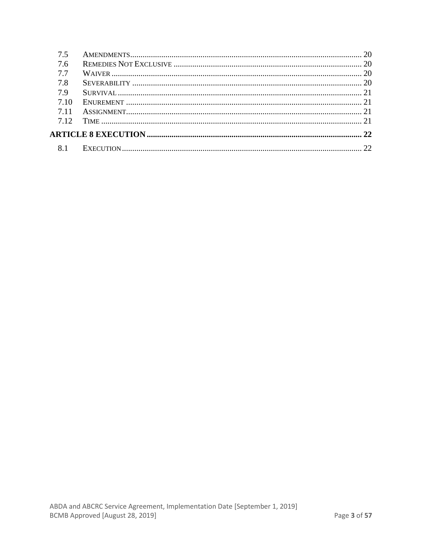| 75    |  |
|-------|--|
| 7.6   |  |
| 77    |  |
| 7.8   |  |
| 79    |  |
| 7.10  |  |
| 7 1 1 |  |
| 7.12  |  |
|       |  |
| 8.1   |  |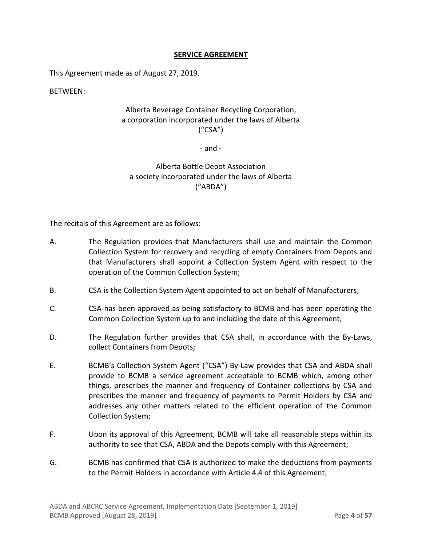### **SERVICE AGREEMENT**

This Agreement made as of August 27, 2019.

BETWEEN:

# Alberta Beverage Container Recycling Corporation, a corporation incorporated under the laws of Alberta ("CSA")

- and -

# Alberta Bottle Depot Association a society incorporated under the laws of Alberta ("ABDA")

The recitals of this Agreement are as follows:

- A. The Regulation provides that Manufacturers shall use and maintain the Common Collection System for recovery and recycling of empty Containers from Depots and that Manufacturers shall appoint a Collection System Agent with respect to the operation of the Common Collection System;
- B. CSA is the Collection System Agent appointed to act on behalf of Manufacturers;
- C. CSA has been approved as being satisfactory to BCMB and has been operating the Common Collection System up to and including the date of this Agreement;
- D. The Regulation further provides that CSA shall, in accordance with the By-Laws, collect Containers from Depots;
- E. BCMB's Collection System Agent ("CSA") By-Law provides that CSA and ABDA shall provide to BCMB a service agreement acceptable to BCMB which, among other things, prescribes the manner and frequency of Container collections by CSA and prescribes the manner and frequency of payments to Permit Holders by CSA and addresses any other matters related to the efficient operation of the Common Collection System;
- F. Upon its approval of this Agreement, BCMB will take all reasonable steps within its authority to see that CSA, ABDA and the Depots comply with this Agreement;
- G. BCMB has confirmed that CSA is authorized to make the deductions from payments to the Permit Holders in accordance with Article [4.4](#page-13-1) of this Agreement;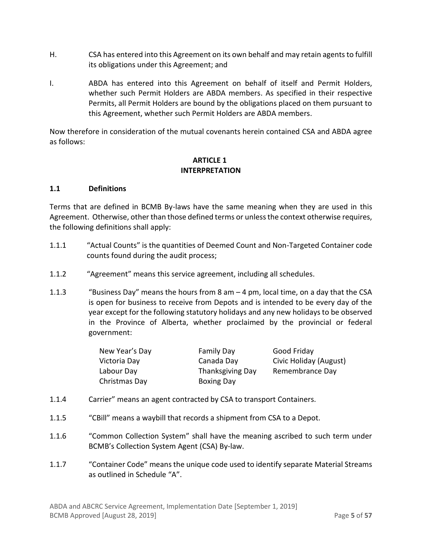- H. CSA has entered into this Agreement on its own behalf and may retain agents to fulfill its obligations under this Agreement; and
- I. ABDA has entered into this Agreement on behalf of itself and Permit Holders, whether such Permit Holders are ABDA members. As specified in their respective Permits, all Permit Holders are bound by the obligations placed on them pursuant to this Agreement, whether such Permit Holders are ABDA members.

Now therefore in consideration of the mutual covenants herein contained CSA and ABDA agree as follows:

#### **ARTICLE 1 INTERPRETATION**

#### <span id="page-4-1"></span><span id="page-4-0"></span>**1.1 Definitions**

Terms that are defined in BCMB By-laws have the same meaning when they are used in this Agreement. Otherwise, other than those defined terms or unless the context otherwise requires, the following definitions shall apply:

- 1.1.1 "Actual Counts" is the quantities of Deemed Count and Non-Targeted Container code counts found during the audit process;
- 1.1.2 "Agreement" means this service agreement, including all schedules.
- 1.1.3 ""Business Day" means the hours from 8 am  $-4$  pm, local time, on a day that the CSA is open for business to receive from Depots and is intended to be every day of the year except for the following statutory holidays and any new holidays to be observed in the Province of Alberta, whether proclaimed by the provincial or federal government:

| New Year's Day | <b>Family Day</b>       | Good Friday            |
|----------------|-------------------------|------------------------|
| Victoria Day   | Canada Day              | Civic Holiday (August) |
| Labour Day     | <b>Thanksgiving Day</b> | Remembrance Day        |
| Christmas Day  | <b>Boxing Day</b>       |                        |

- 1.1.4 Carrier" means an agent contracted by CSA to transport Containers.
- 1.1.5 "CBill" means a waybill that records a shipment from CSA to a Depot.
- 1.1.6 "Common Collection System" shall have the meaning ascribed to such term under BCMB's Collection System Agent (CSA) By-law.
- 1.1.7 "Container Code" means the unique code used to identify separate Material Streams as outlined in Schedule "A".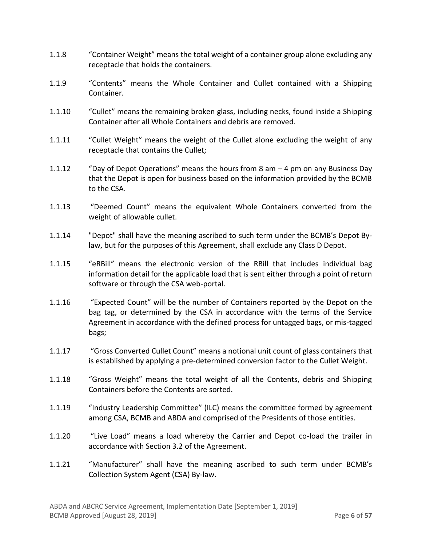- 1.1.8 "Container Weight" means the total weight of a container group alone excluding any receptacle that holds the containers.
- 1.1.9 "Contents" means the Whole Container and Cullet contained with a Shipping Container.
- 1.1.10 "Cullet" means the remaining broken glass, including necks, found inside a Shipping Container after all Whole Containers and debris are removed.
- 1.1.11 "Cullet Weight" means the weight of the Cullet alone excluding the weight of any receptacle that contains the Cullet;
- 1.1.12 "Day of Depot Operations" means the hours from 8 am 4 pm on any Business Day that the Depot is open for business based on the information provided by the BCMB to the CSA.
- 1.1.13 "Deemed Count" means the equivalent Whole Containers converted from the weight of allowable cullet.
- 1.1.14 "Depot" shall have the meaning ascribed to such term under the BCMB's Depot Bylaw, but for the purposes of this Agreement, shall exclude any Class D Depot.
- 1.1.15 "eRBill" means the electronic version of the RBill that includes individual bag information detail for the applicable load that is sent either through a point of return software or through the CSA web-portal.
- 1.1.16 "Expected Count" will be the number of Containers reported by the Depot on the bag tag, or determined by the CSA in accordance with the terms of the Service Agreement in accordance with the defined process for untagged bags, or mis-tagged bags;
- 1.1.17 "Gross Converted Cullet Count" means a notional unit count of glass containers that is established by applying a pre-determined conversion factor to the Cullet Weight.
- 1.1.18 "Gross Weight" means the total weight of all the Contents, debris and Shipping Containers before the Contents are sorted.
- 1.1.19 "Industry Leadership Committee" (ILC) means the committee formed by agreement among CSA, BCMB and ABDA and comprised of the Presidents of those entities.
- 1.1.20 "Live Load" means a load whereby the Carrier and Depot co-load the trailer in accordance with Section 3.2 of the Agreement.
- 1.1.21 "Manufacturer" shall have the meaning ascribed to such term under BCMB's Collection System Agent (CSA) By-law.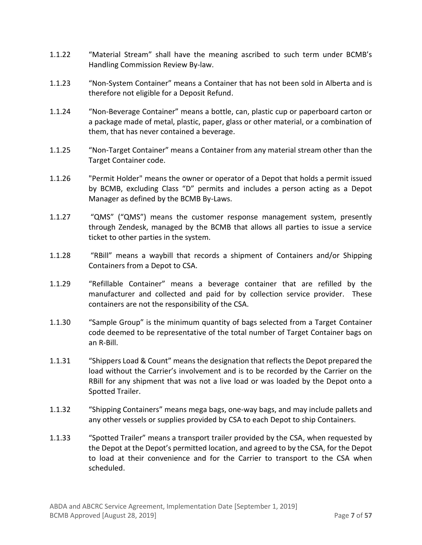- 1.1.22 "Material Stream" shall have the meaning ascribed to such term under BCMB's Handling Commission Review By-law.
- 1.1.23 "Non-System Container" means a Container that has not been sold in Alberta and is therefore not eligible for a Deposit Refund.
- 1.1.24 "Non-Beverage Container" means a bottle, can, plastic cup or paperboard carton or a package made of metal, plastic, paper, glass or other material, or a combination of them, that has never contained a beverage.
- 1.1.25 "Non-Target Container" means a Container from any material stream other than the Target Container code.
- 1.1.26 "Permit Holder" means the owner or operator of a Depot that holds a permit issued by BCMB, excluding Class "D" permits and includes a person acting as a Depot Manager as defined by the BCMB By-Laws.
- 1.1.27 "QMS" ("QMS") means the customer response management system, presently through Zendesk, managed by the BCMB that allows all parties to issue a service ticket to other parties in the system.
- 1.1.28 "RBill" means a waybill that records a shipment of Containers and/or Shipping Containers from a Depot to CSA.
- 1.1.29 "Refillable Container" means a beverage container that are refilled by the manufacturer and collected and paid for by collection service provider. These containers are not the responsibility of the CSA.
- 1.1.30 "Sample Group" is the minimum quantity of bags selected from a Target Container code deemed to be representative of the total number of Target Container bags on an R-Bill.
- 1.1.31 "Shippers Load & Count" means the designation that reflectsthe Depot prepared the load without the Carrier's involvement and is to be recorded by the Carrier on the RBill for any shipment that was not a live load or was loaded by the Depot onto a Spotted Trailer.
- 1.1.32 "Shipping Containers" means mega bags, one-way bags, and may include pallets and any other vessels or supplies provided by CSA to each Depot to ship Containers.
- 1.1.33 "Spotted Trailer" means a transport trailer provided by the CSA, when requested by the Depot at the Depot's permitted location, and agreed to by the CSA, for the Depot to load at their convenience and for the Carrier to transport to the CSA when scheduled.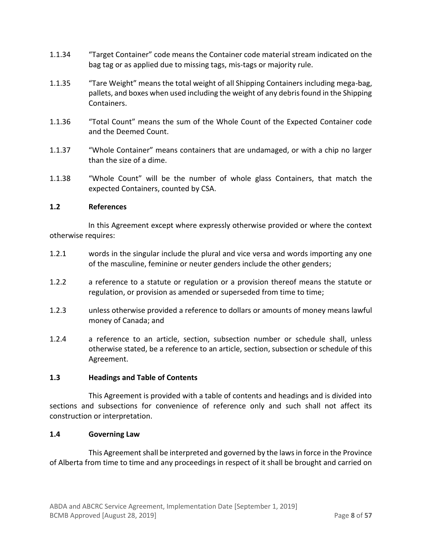- 1.1.34 "Target Container" code means the Container code material stream indicated on the bag tag or as applied due to missing tags, mis-tags or majority rule.
- 1.1.35 "Tare Weight" means the total weight of all Shipping Containers including mega-bag, pallets, and boxes when used including the weight of any debris found in the Shipping Containers.
- 1.1.36 "Total Count" means the sum of the Whole Count of the Expected Container code and the Deemed Count.
- 1.1.37 "Whole Container" means containers that are undamaged, or with a chip no larger than the size of a dime.
- 1.1.38 "Whole Count" will be the number of whole glass Containers, that match the expected Containers, counted by CSA.

#### <span id="page-7-0"></span>**1.2 References**

In this Agreement except where expressly otherwise provided or where the context otherwise requires:

- 1.2.1 words in the singular include the plural and vice versa and words importing any one of the masculine, feminine or neuter genders include the other genders;
- 1.2.2 a reference to a statute or regulation or a provision thereof means the statute or regulation, or provision as amended or superseded from time to time;
- 1.2.3 unless otherwise provided a reference to dollars or amounts of money means lawful money of Canada; and
- 1.2.4 a reference to an article, section, subsection number or schedule shall, unless otherwise stated, be a reference to an article, section, subsection or schedule of this Agreement.

#### <span id="page-7-1"></span>**1.3 Headings and Table of Contents**

This Agreement is provided with a table of contents and headings and is divided into sections and subsections for convenience of reference only and such shall not affect its construction or interpretation.

#### <span id="page-7-2"></span>**1.4 Governing Law**

This Agreement shall be interpreted and governed by the laws in force in the Province of Alberta from time to time and any proceedings in respect of it shall be brought and carried on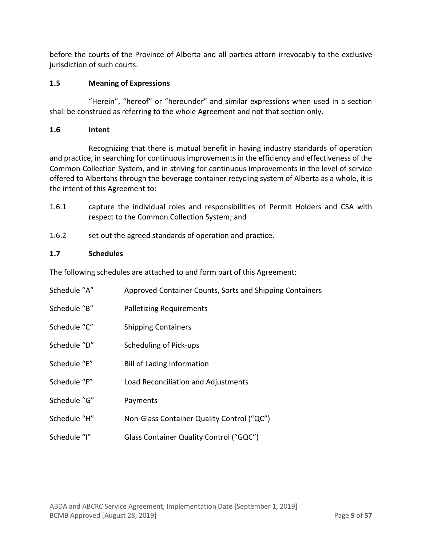before the courts of the Province of Alberta and all parties attorn irrevocably to the exclusive jurisdiction of such courts.

# <span id="page-8-0"></span>**1.5 Meaning of Expressions**

"Herein", "hereof" or "hereunder" and similar expressions when used in a section shall be construed as referring to the whole Agreement and not that section only.

# <span id="page-8-1"></span>**1.6 Intent**

Recognizing that there is mutual benefit in having industry standards of operation and practice, in searching for continuous improvements in the efficiency and effectiveness of the Common Collection System, and in striving for continuous improvements in the level of service offered to Albertans through the beverage container recycling system of Alberta as a whole, it is the intent of this Agreement to:

- 1.6.1 capture the individual roles and responsibilities of Permit Holders and CSA with respect to the Common Collection System; and
- 1.6.2 set out the agreed standards of operation and practice.

# <span id="page-8-2"></span>**1.7 Schedules**

The following schedules are attached to and form part of this Agreement:

| Schedule "A" | Approved Container Counts, Sorts and Shipping Containers |
|--------------|----------------------------------------------------------|
| Schedule "B" | <b>Palletizing Requirements</b>                          |
| Schedule "C" | <b>Shipping Containers</b>                               |
| Schedule "D" | Scheduling of Pick-ups                                   |
| Schedule "E" | <b>Bill of Lading Information</b>                        |
| Schedule "F" | Load Reconciliation and Adjustments                      |
| Schedule "G" | Payments                                                 |
| Schedule "H" | Non-Glass Container Quality Control ("QC")               |
| Schedule "I" | Glass Container Quality Control ("GQC")                  |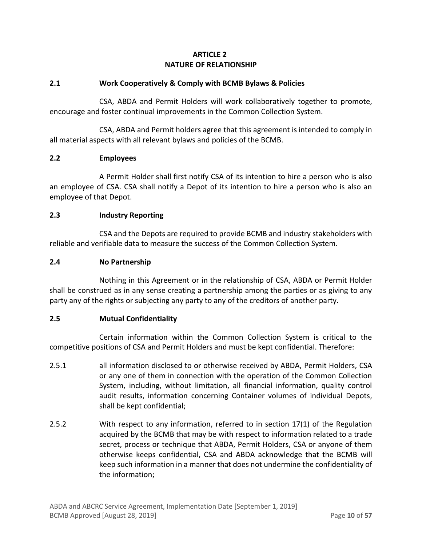# **ARTICLE 2 NATURE OF RELATIONSHIP**

# <span id="page-9-1"></span><span id="page-9-0"></span>**2.1 Work Cooperatively & Comply with BCMB Bylaws & Policies**

CSA, ABDA and Permit Holders will work collaboratively together to promote, encourage and foster continual improvements in the Common Collection System.

CSA, ABDA and Permit holders agree that this agreement is intended to comply in all material aspects with all relevant bylaws and policies of the BCMB.

#### <span id="page-9-2"></span>**2.2 Employees**

A Permit Holder shall first notify CSA of its intention to hire a person who is also an employee of CSA. CSA shall notify a Depot of its intention to hire a person who is also an employee of that Depot.

# <span id="page-9-3"></span>**2.3 Industry Reporting**

CSA and the Depots are required to provide BCMB and industry stakeholders with reliable and verifiable data to measure the success of the Common Collection System.

#### <span id="page-9-4"></span>**2.4 No Partnership**

Nothing in this Agreement or in the relationship of CSA, ABDA or Permit Holder shall be construed as in any sense creating a partnership among the parties or as giving to any party any of the rights or subjecting any party to any of the creditors of another party.

#### <span id="page-9-5"></span>**2.5 Mutual Confidentiality**

Certain information within the Common Collection System is critical to the competitive positions of CSA and Permit Holders and must be kept confidential. Therefore:

- 2.5.1 all information disclosed to or otherwise received by ABDA, Permit Holders, CSA or any one of them in connection with the operation of the Common Collection System, including, without limitation, all financial information, quality control audit results, information concerning Container volumes of individual Depots, shall be kept confidential;
- 2.5.2 With respect to any information, referred to in section 17(1) of the Regulation acquired by the BCMB that may be with respect to information related to a trade secret, process or technique that ABDA, Permit Holders, CSA or anyone of them otherwise keeps confidential, CSA and ABDA acknowledge that the BCMB will keep such information in a manner that does not undermine the confidentiality of the information;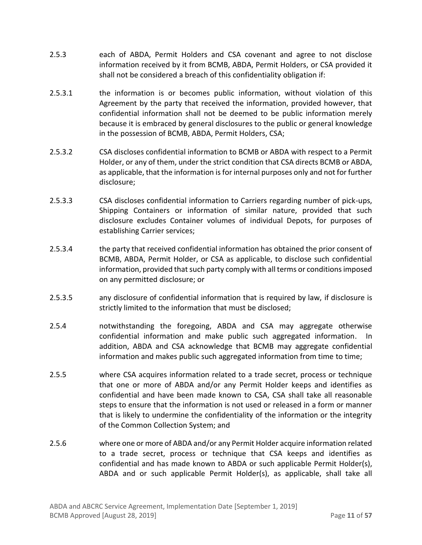- 2.5.3 each of ABDA, Permit Holders and CSA covenant and agree to not disclose information received by it from BCMB, ABDA, Permit Holders, or CSA provided it shall not be considered a breach of this confidentiality obligation if:
- 2.5.3.1 the information is or becomes public information, without violation of this Agreement by the party that received the information, provided however, that confidential information shall not be deemed to be public information merely because it is embraced by general disclosures to the public or general knowledge in the possession of BCMB, ABDA, Permit Holders, CSA;
- 2.5.3.2 CSA discloses confidential information to BCMB or ABDA with respect to a Permit Holder, or any of them, under the strict condition that CSA directs BCMB or ABDA, as applicable, that the information isfor internal purposes only and not for further disclosure;
- 2.5.3.3 CSA discloses confidential information to Carriers regarding number of pick-ups, Shipping Containers or information of similar nature, provided that such disclosure excludes Container volumes of individual Depots, for purposes of establishing Carrier services;
- 2.5.3.4 the party that received confidential information has obtained the prior consent of BCMB, ABDA, Permit Holder, or CSA as applicable, to disclose such confidential information, provided that such party comply with all terms or conditions imposed on any permitted disclosure; or
- 2.5.3.5 any disclosure of confidential information that is required by law, if disclosure is strictly limited to the information that must be disclosed;
- 2.5.4 notwithstanding the foregoing, ABDA and CSA may aggregate otherwise confidential information and make public such aggregated information. In addition, ABDA and CSA acknowledge that BCMB may aggregate confidential information and makes public such aggregated information from time to time;
- 2.5.5 where CSA acquires information related to a trade secret, process or technique that one or more of ABDA and/or any Permit Holder keeps and identifies as confidential and have been made known to CSA, CSA shall take all reasonable steps to ensure that the information is not used or released in a form or manner that is likely to undermine the confidentiality of the information or the integrity of the Common Collection System; and
- 2.5.6 where one or more of ABDA and/or any Permit Holder acquire information related to a trade secret, process or technique that CSA keeps and identifies as confidential and has made known to ABDA or such applicable Permit Holder(s), ABDA and or such applicable Permit Holder(s), as applicable, shall take all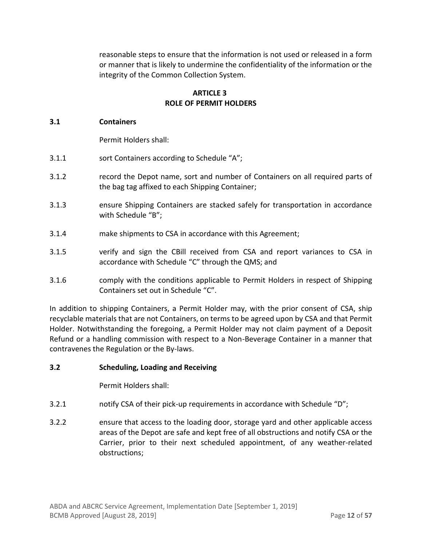reasonable steps to ensure that the information is not used or released in a form or manner that is likely to undermine the confidentiality of the information or the integrity of the Common Collection System.

#### **ARTICLE 3 ROLE OF PERMIT HOLDERS**

#### <span id="page-11-1"></span><span id="page-11-0"></span>**3.1 Containers**

Permit Holders shall:

- 3.1.1 sort Containers according to Schedule "A";
- 3.1.2 record the Depot name, sort and number of Containers on all required parts of the bag tag affixed to each Shipping Container;
- 3.1.3 ensure Shipping Containers are stacked safely for transportation in accordance with Schedule "B";
- 3.1.4 make shipments to CSA in accordance with this Agreement;
- 3.1.5 verify and sign the CBill received from CSA and report variances to CSA in accordance with Schedule "C" through the QMS; and
- 3.1.6 comply with the conditions applicable to Permit Holders in respect of Shipping Containers set out in Schedule "C".

In addition to shipping Containers, a Permit Holder may, with the prior consent of CSA, ship recyclable materials that are not Containers, on terms to be agreed upon by CSA and that Permit Holder. Notwithstanding the foregoing, a Permit Holder may not claim payment of a Deposit Refund or a handling commission with respect to a Non-Beverage Container in a manner that contravenes the Regulation or the By-laws.

#### <span id="page-11-2"></span>**3.2 Scheduling, Loading and Receiving**

Permit Holders shall:

- 3.2.1 notify CSA of their pick-up requirements in accordance with Schedule "D";
- 3.2.2 ensure that access to the loading door, storage yard and other applicable access areas of the Depot are safe and kept free of all obstructions and notify CSA or the Carrier, prior to their next scheduled appointment, of any weather-related obstructions;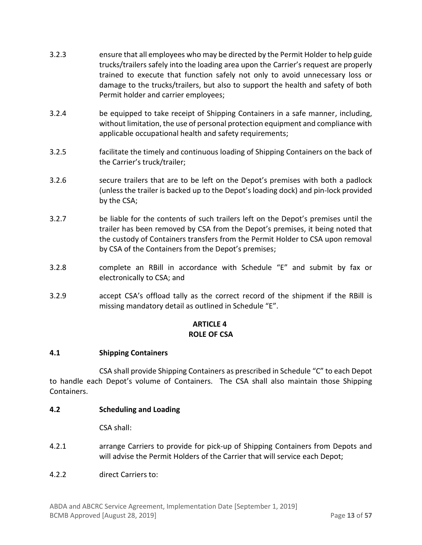- 3.2.3 ensure that all employees who may be directed by the Permit Holder to help guide trucks/trailers safely into the loading area upon the Carrier's request are properly trained to execute that function safely not only to avoid unnecessary loss or damage to the trucks/trailers, but also to support the health and safety of both Permit holder and carrier employees;
- 3.2.4 be equipped to take receipt of Shipping Containers in a safe manner, including, without limitation, the use of personal protection equipment and compliance with applicable occupational health and safety requirements;
- 3.2.5 facilitate the timely and continuous loading of Shipping Containers on the back of the Carrier's truck/trailer;
- 3.2.6 secure trailers that are to be left on the Depot's premises with both a padlock (unless the trailer is backed up to the Depot's loading dock) and pin-lock provided by the CSA;
- 3.2.7 be liable for the contents of such trailers left on the Depot's premises until the trailer has been removed by CSA from the Depot's premises, it being noted that the custody of Containers transfers from the Permit Holder to CSA upon removal by CSA of the Containers from the Depot's premises;
- 3.2.8 complete an RBill in accordance with Schedule "E" and submit by fax or electronically to CSA; and
- 3.2.9 accept CSA's offload tally as the correct record of the shipment if the RBill is missing mandatory detail as outlined in Schedule "E".

# **ARTICLE 4 ROLE OF CSA**

#### <span id="page-12-1"></span><span id="page-12-0"></span>**4.1 Shipping Containers**

CSA shall provide Shipping Containers as prescribed in Schedule "C" to each Depot to handle each Depot's volume of Containers. The CSA shall also maintain those Shipping Containers.

#### <span id="page-12-2"></span>**4.2 Scheduling and Loading**

CSA shall:

- 4.2.1 arrange Carriers to provide for pick-up of Shipping Containers from Depots and will advise the Permit Holders of the Carrier that will service each Depot;
- 4.2.2 direct Carriers to: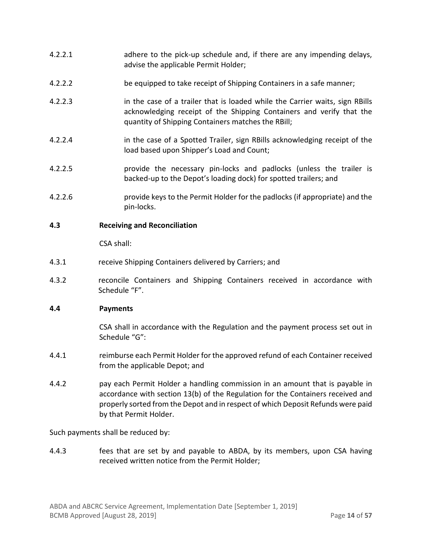- 4.2.2.1 adhere to the pick-up schedule and, if there are any impending delays, advise the applicable Permit Holder;
- 4.2.2.2 be equipped to take receipt of Shipping Containers in a safe manner;
- 4.2.2.3 in the case of a trailer that is loaded while the Carrier waits, sign RBills acknowledging receipt of the Shipping Containers and verify that the quantity of Shipping Containers matches the RBill;
- 4.2.2.4 in the case of a Spotted Trailer, sign RBills acknowledging receipt of the load based upon Shipper's Load and Count;
- 4.2.2.5 provide the necessary pin-locks and padlocks (unless the trailer is backed-up to the Depot's loading dock) for spotted trailers; and
- 4.2.2.6 provide keys to the Permit Holder for the padlocks (if appropriate) and the pin-locks.

#### <span id="page-13-0"></span>**4.3 Receiving and Reconciliation**

CSA shall:

- 4.3.1 receive Shipping Containers delivered by Carriers; and
- 4.3.2 reconcile Containers and Shipping Containers received in accordance with Schedule "F".

#### <span id="page-13-1"></span>**4.4 Payments**

CSA shall in accordance with the Regulation and the payment process set out in Schedule "G":

- 4.4.1 reimburse each Permit Holder for the approved refund of each Container received from the applicable Depot; and
- 4.4.2 pay each Permit Holder a handling commission in an amount that is payable in accordance with section 13(b) of the Regulation for the Containers received and properly sorted from the Depot and in respect of which Deposit Refunds were paid by that Permit Holder.

<span id="page-13-2"></span>Such payments shall be reduced by:

4.4.3 fees that are set by and payable to ABDA, by its members, upon CSA having received written notice from the Permit Holder;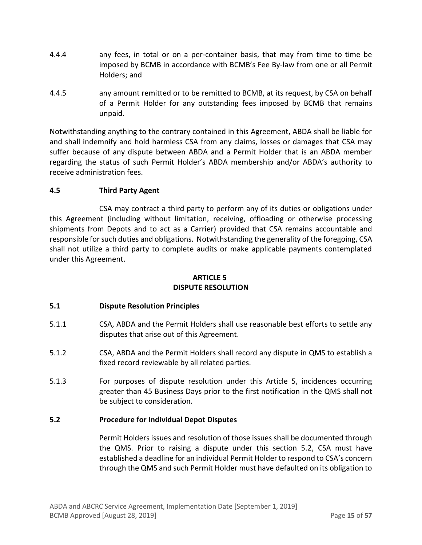- 4.4.4 any fees, in total or on a per-container basis, that may from time to time be imposed by BCMB in accordance with BCMB's Fee By-law from one or all Permit Holders; and
- 4.4.5 any amount remitted or to be remitted to BCMB, at its request, by CSA on behalf of a Permit Holder for any outstanding fees imposed by BCMB that remains unpaid.

Notwithstanding anything to the contrary contained in this Agreement, ABDA shall be liable for and shall indemnify and hold harmless CSA from any claims, losses or damages that CSA may suffer because of any dispute between ABDA and a Permit Holder that is an ABDA member regarding the status of such Permit Holder's ABDA membership and/or ABDA's authority to receive administration fees.

# <span id="page-14-0"></span>**4.5 Third Party Agent**

CSA may contract a third party to perform any of its duties or obligations under this Agreement (including without limitation, receiving, offloading or otherwise processing shipments from Depots and to act as a Carrier) provided that CSA remains accountable and responsible for such duties and obligations. Notwithstanding the generality of the foregoing, CSA shall not utilize a third party to complete audits or make applicable payments contemplated under this Agreement.

#### **ARTICLE 5 DISPUTE RESOLUTION**

# <span id="page-14-2"></span><span id="page-14-1"></span>**5.1 Dispute Resolution Principles**

- 5.1.1 CSA, ABDA and the Permit Holders shall use reasonable best efforts to settle any disputes that arise out of this Agreement.
- 5.1.2 CSA, ABDA and the Permit Holders shall record any dispute in QMS to establish a fixed record reviewable by all related parties.
- 5.1.3 For purposes of dispute resolution under this Article 5, incidences occurring greater than 45 Business Days prior to the first notification in the QMS shall not be subject to consideration.

# <span id="page-14-3"></span>**5.2 Procedure for Individual Depot Disputes**

Permit Holders issues and resolution of those issues shall be documented through the QMS. Prior to raising a dispute under this section 5.2, CSA must have established a deadline for an individual Permit Holder to respond to CSA's concern through the QMS and such Permit Holder must have defaulted on its obligation to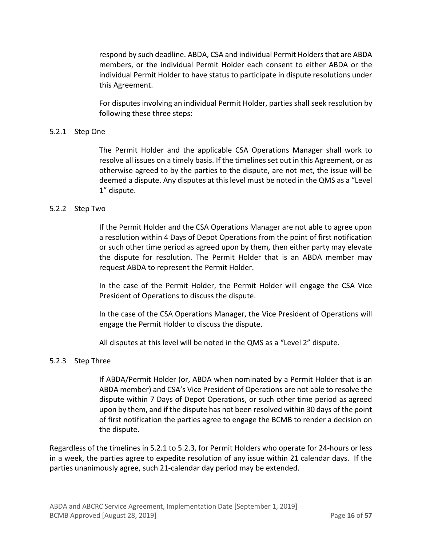respond by such deadline. ABDA, CSA and individual Permit Holders that are ABDA members, or the individual Permit Holder each consent to either ABDA or the individual Permit Holder to have status to participate in dispute resolutions under this Agreement.

For disputes involving an individual Permit Holder, parties shall seek resolution by following these three steps:

#### 5.2.1 Step One

The Permit Holder and the applicable CSA Operations Manager shall work to resolve all issues on a timely basis. If the timelines set out in this Agreement, or as otherwise agreed to by the parties to the dispute, are not met, the issue will be deemed a dispute. Any disputes at this level must be noted in the QMS as a "Level 1" dispute.

#### 5.2.2 Step Two

If the Permit Holder and the CSA Operations Manager are not able to agree upon a resolution within 4 Days of Depot Operations from the point of first notification or such other time period as agreed upon by them, then either party may elevate the dispute for resolution. The Permit Holder that is an ABDA member may request ABDA to represent the Permit Holder.

In the case of the Permit Holder, the Permit Holder will engage the CSA Vice President of Operations to discuss the dispute.

In the case of the CSA Operations Manager, the Vice President of Operations will engage the Permit Holder to discuss the dispute.

All disputes at this level will be noted in the QMS as a "Level 2" dispute.

#### 5.2.3 Step Three

If ABDA/Permit Holder (or, ABDA when nominated by a Permit Holder that is an ABDA member) and CSA's Vice President of Operations are not able to resolve the dispute within 7 Days of Depot Operations, or such other time period as agreed upon by them, and if the dispute has not been resolved within 30 days of the point of first notification the parties agree to engage the BCMB to render a decision on the dispute.

Regardless of the timelines in 5.2.1 to 5.2.3, for Permit Holders who operate for 24-hours or less in a week, the parties agree to expedite resolution of any issue within 21 calendar days. If the parties unanimously agree, such 21-calendar day period may be extended.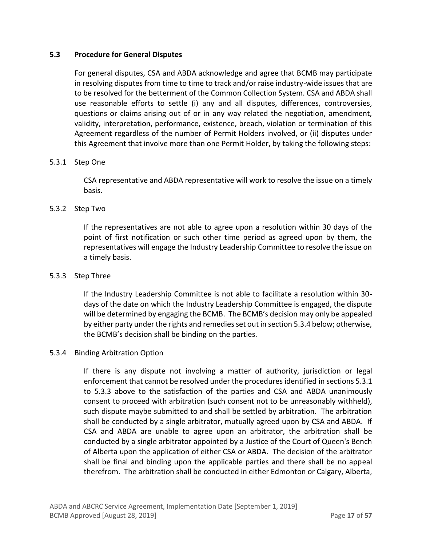#### <span id="page-16-0"></span>**5.3 Procedure for General Disputes**

For general disputes, CSA and ABDA acknowledge and agree that BCMB may participate in resolving disputes from time to time to track and/or raise industry-wide issues that are to be resolved for the betterment of the Common Collection System. CSA and ABDA shall use reasonable efforts to settle (i) any and all disputes, differences, controversies, questions or claims arising out of or in any way related the negotiation, amendment, validity, interpretation, performance, existence, breach, violation or termination of this Agreement regardless of the number of Permit Holders involved, or (ii) disputes under this Agreement that involve more than one Permit Holder, by taking the following steps:

#### 5.3.1 Step One

CSA representative and ABDA representative will work to resolve the issue on a timely basis.

#### 5.3.2 Step Two

If the representatives are not able to agree upon a resolution within 30 days of the point of first notification or such other time period as agreed upon by them, the representatives will engage the Industry Leadership Committee to resolve the issue on a timely basis.

#### 5.3.3 Step Three

If the Industry Leadership Committee is not able to facilitate a resolution within 30 days of the date on which the Industry Leadership Committee is engaged, the dispute will be determined by engaging the BCMB. The BCMB's decision may only be appealed by either party under the rights and remedies set out in section 5.3.4 below; otherwise, the BCMB's decision shall be binding on the parties.

#### 5.3.4 Binding Arbitration Option

If there is any dispute not involving a matter of authority, jurisdiction or legal enforcement that cannot be resolved under the procedures identified in sections 5.3.1 to 5.3.3 above to the satisfaction of the parties and CSA and ABDA unanimously consent to proceed with arbitration (such consent not to be unreasonably withheld), such dispute maybe submitted to and shall be settled by arbitration. The arbitration shall be conducted by a single arbitrator, mutually agreed upon by CSA and ABDA. If CSA and ABDA are unable to agree upon an arbitrator, the arbitration shall be conducted by a single arbitrator appointed by a Justice of the Court of Queen's Bench of Alberta upon the application of either CSA or ABDA. The decision of the arbitrator shall be final and binding upon the applicable parties and there shall be no appeal therefrom. The arbitration shall be conducted in either Edmonton or Calgary, Alberta,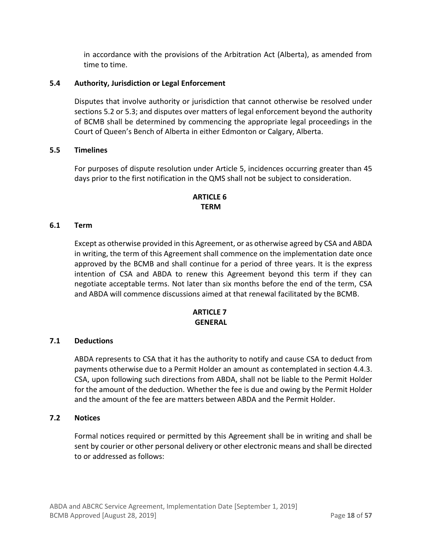in accordance with the provisions of the Arbitration Act (Alberta), as amended from time to time.

# <span id="page-17-0"></span>**5.4 Authority, Jurisdiction or Legal Enforcement**

Disputes that involve authority or jurisdiction that cannot otherwise be resolved under sections 5.2 or 5.3; and disputes over matters of legal enforcement beyond the authority of BCMB shall be determined by commencing the appropriate legal proceedings in the Court of Queen's Bench of Alberta in either Edmonton or Calgary, Alberta.

#### <span id="page-17-1"></span>**5.5 Timelines**

For purposes of dispute resolution under Article 5, incidences occurring greater than 45 days prior to the first notification in the QMS shall not be subject to consideration.

# **ARTICLE 6 TERM**

#### <span id="page-17-3"></span><span id="page-17-2"></span>**6.1 Term**

Except as otherwise provided in this Agreement, or as otherwise agreed by CSA and ABDA in writing, the term of this Agreement shall commence on the implementation date once approved by the BCMB and shall continue for a period of three years. It is the express intention of CSA and ABDA to renew this Agreement beyond this term if they can negotiate acceptable terms. Not later than six months before the end of the term, CSA and ABDA will commence discussions aimed at that renewal facilitated by the BCMB.

#### **ARTICLE 7 GENERAL**

#### <span id="page-17-5"></span><span id="page-17-4"></span>**7.1 Deductions**

ABDA represents to CSA that it has the authority to notify and cause CSA to deduct from payments otherwise due to a Permit Holder an amount as contemplated in section [4.4.3.](#page-13-2) CSA, upon following such directions from ABDA, shall not be liable to the Permit Holder for the amount of the deduction. Whether the fee is due and owing by the Permit Holder and the amount of the fee are matters between ABDA and the Permit Holder.

#### <span id="page-17-6"></span>**7.2 Notices**

Formal notices required or permitted by this Agreement shall be in writing and shall be sent by courier or other personal delivery or other electronic means and shall be directed to or addressed as follows: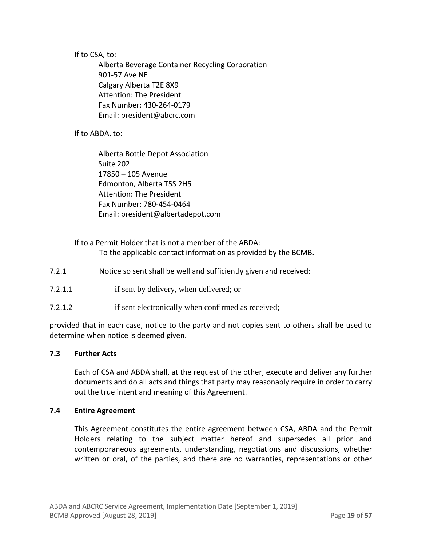If to CSA, to:

Alberta Beverage Container Recycling Corporation 901-57 Ave NE Calgary Alberta T2E 8X9 Attention: The President Fax Number: 430-264-0179 Email: president@abcrc.com

If to ABDA, to:

Alberta Bottle Depot Association Suite 202 17850 – 105 Avenue Edmonton, Alberta T5S 2H5 Attention: The President Fax Number: 780-454-0464 Email: president@albertadepot.com

# If to a Permit Holder that is not a member of the ABDA: To the applicable contact information as provided by the BCMB.

- 7.2.1 Notice so sent shall be well and sufficiently given and received:
- 7.2.1.1 if sent by delivery, when delivered; or
- 7.2.1.2 if sent electronically when confirmed as received;

provided that in each case, notice to the party and not copies sent to others shall be used to determine when notice is deemed given.

#### <span id="page-18-0"></span>**7.3 Further Acts**

Each of CSA and ABDA shall, at the request of the other, execute and deliver any further documents and do all acts and things that party may reasonably require in order to carry out the true intent and meaning of this Agreement.

#### <span id="page-18-1"></span>**7.4 Entire Agreement**

This Agreement constitutes the entire agreement between CSA, ABDA and the Permit Holders relating to the subject matter hereof and supersedes all prior and contemporaneous agreements, understanding, negotiations and discussions, whether written or oral, of the parties, and there are no warranties, representations or other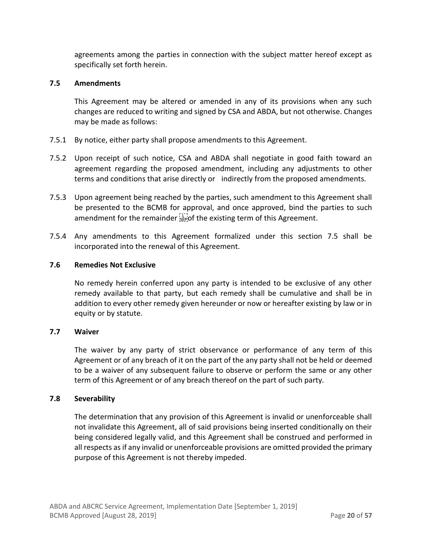agreements among the parties in connection with the subject matter hereof except as specifically set forth herein.

#### <span id="page-19-0"></span>**7.5 Amendments**

This Agreement may be altered or amended in any of its provisions when any such changes are reduced to writing and signed by CSA and ABDA, but not otherwise. Changes may be made as follows:

- 7.5.1 By notice, either party shall propose amendments to this Agreement.
- 7.5.2 Upon receipt of such notice, CSA and ABDA shall negotiate in good faith toward an agreement regarding the proposed amendment, including any adjustments to other terms and conditions that arise directly or indirectly from the proposed amendments.
- 7.5.3 Upon agreement being reached by the parties, such amendment to this Agreement shall be presented to the BCMB for approval, and once approved, bind the parties to such amendment for the remainder  $\sum_{i=1}^{n}$  of the existing term of this Agreement.
- 7.5.4 Any amendments to this Agreement formalized under this section 7.5 shall be incorporated into the renewal of this Agreement.

#### <span id="page-19-1"></span>**7.6 Remedies Not Exclusive**

No remedy herein conferred upon any party is intended to be exclusive of any other remedy available to that party, but each remedy shall be cumulative and shall be in addition to every other remedy given hereunder or now or hereafter existing by law or in equity or by statute.

#### <span id="page-19-2"></span>**7.7 Waiver**

The waiver by any party of strict observance or performance of any term of this Agreement or of any breach of it on the part of the any party shall not be held or deemed to be a waiver of any subsequent failure to observe or perform the same or any other term of this Agreement or of any breach thereof on the part of such party.

#### <span id="page-19-3"></span>**7.8 Severability**

The determination that any provision of this Agreement is invalid or unenforceable shall not invalidate this Agreement, all of said provisions being inserted conditionally on their being considered legally valid, and this Agreement shall be construed and performed in all respects as if any invalid or unenforceable provisions are omitted provided the primary purpose of this Agreement is not thereby impeded.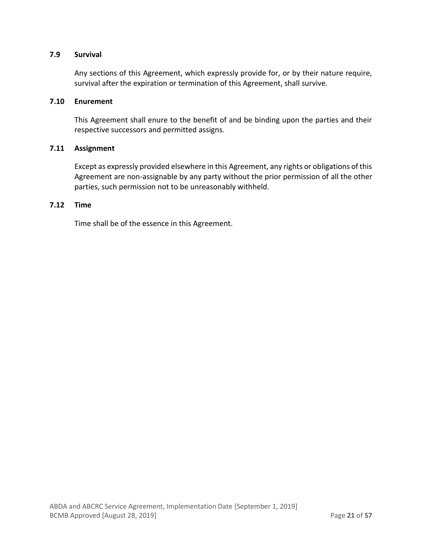#### <span id="page-20-0"></span>**7.9 Survival**

Any sections of this Agreement, which expressly provide for, or by their nature require, survival after the expiration or termination of this Agreement, shall survive.

#### <span id="page-20-1"></span>**7.10 Enurement**

This Agreement shall enure to the benefit of and be binding upon the parties and their respective successors and permitted assigns.

#### <span id="page-20-2"></span>**7.11 Assignment**

Except as expressly provided elsewhere in this Agreement, any rights or obligations of this Agreement are non-assignable by any party without the prior permission of all the other parties, such permission not to be unreasonably withheld.

#### <span id="page-20-3"></span>**7.12 Time**

Time shall be of the essence in this Agreement.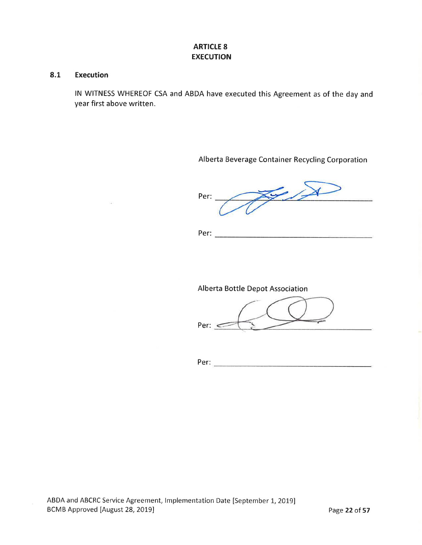# **ARTICLE 8 EXECUTION**

#### 8.1 **Execution**

 $\sim 10$ 

IN WITNESS WHEREOF CSA and ABDA have executed this Agreement as of the day and year first above written.

Alberta Beverage Container Recycling Corporation

 $\sqrt{4}$ Per:

# Alberta Bottle Depot Association

Per:  $\leq$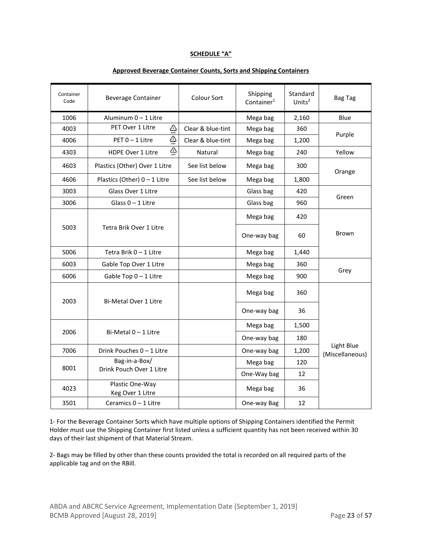#### **SCHEDULE "A"**

| Container<br>Code | <b>Beverage Container</b>                         | Colour Sort       | Shipping<br>Container <sup>1</sup> | Standard<br>Units $2$ | <b>Bag Tag</b>                |
|-------------------|---------------------------------------------------|-------------------|------------------------------------|-----------------------|-------------------------------|
| 1006              | Aluminum 0 - 1 Litre                              |                   | Mega bag                           | 2,160                 | Blue                          |
| 4003              | PET Over 1 Litre<br>♧                             | Clear & blue-tint | Mega bag                           | 360                   |                               |
| 4006              | ঞু<br>PET 0 - 1 Litre                             | Clear & blue-tint | Mega bag                           | 1,200                 | Purple                        |
| 4303              | $\sum_{n=1}^{\infty}$<br><b>HDPE Over 1 Litre</b> | Natural           | Mega bag                           | 240                   | Yellow                        |
| 4603              | Plastics (Other) Over 1 Litre                     | See list below    | Mega bag                           | 300                   | Orange                        |
| 4606              | Plastics (Other) $0 - 1$ Litre                    | See list below    | Mega bag                           | 1,800                 |                               |
| 3003              | Glass Over 1 Litre                                |                   | Glass bag                          | 420                   | Green                         |
| 3006              | Glass $0 - 1$ Litre                               |                   | Glass bag                          | 960                   |                               |
|                   |                                                   |                   | Mega bag                           | 420                   |                               |
| 5003              | Tetra Brik Over 1 Litre                           |                   | One-way bag                        | 60                    | Brown                         |
| 5006              | Tetra Brik 0 - 1 Litre                            |                   | Mega bag                           | 1,440                 |                               |
| 6003              | Gable Top Over 1 Litre                            |                   | Mega bag                           | 360                   |                               |
| 6006              | Gable Top $0 - 1$ Litre                           |                   | Mega bag                           | 900                   | Grey                          |
| 2003              | <b>Bi-Metal Over 1 Litre</b>                      |                   | Mega bag                           | 360                   |                               |
|                   |                                                   |                   | One-way bag                        | 36                    |                               |
|                   |                                                   |                   | Mega bag                           | 1,500                 |                               |
| 2006              | Bi-Metal $0 - 1$ Litre                            |                   | One-way bag                        | 180                   |                               |
| 7006              | Drink Pouches 0 - 1 Litre                         |                   | One-way bag                        | 1,200                 | Light Blue<br>(Miscellaneous) |
|                   | Bag-in-a-Box/                                     |                   | Mega bag                           | 120                   |                               |
| 8001              | Drink Pouch Over 1 Litre                          |                   | One-Way bag                        | 12                    |                               |
| 4023              | Plastic One-Way<br>Keg Over 1 Litre               |                   | Mega bag                           | 36                    |                               |
| 3501              | Ceramics 0 - 1 Litre                              |                   | One-way Bag                        | 12                    |                               |

#### **Approved Beverage Container Counts, Sorts and Shipping Containers**

1- For the Beverage Container Sorts which have multiple options of Shipping Containers identified the Permit Holder must use the Shipping Container first listed unless a sufficient quantity has not been received within 30 days of their last shipment of that Material Stream.

2- Bags may be filled by other than these counts provided the total is recorded on all required parts of the applicable tag and on the RBill.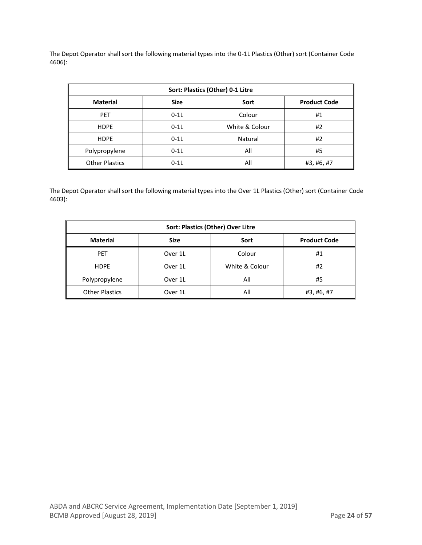The Depot Operator shall sort the following material types into the 0-1L Plastics (Other) sort (Container Code 4606):

| Sort: Plastics (Other) 0-1 Litre                              |        |                |            |  |  |  |
|---------------------------------------------------------------|--------|----------------|------------|--|--|--|
| <b>Product Code</b><br><b>Material</b><br><b>Size</b><br>Sort |        |                |            |  |  |  |
| <b>PET</b>                                                    | $0-1L$ | Colour         | #1         |  |  |  |
| <b>HDPE</b>                                                   | $0-1L$ | White & Colour | #2         |  |  |  |
| <b>HDPE</b>                                                   | $0-1L$ | Natural        | #2         |  |  |  |
| Polypropylene                                                 | $0-1L$ | All            | #5         |  |  |  |
| <b>Other Plastics</b>                                         | $0-1L$ | All            | #3, #6, #7 |  |  |  |

The Depot Operator shall sort the following material types into the Over 1L Plastics (Other) sort (Container Code 4603):

| Sort: Plastics (Other) Over Litre                             |         |                |            |  |  |
|---------------------------------------------------------------|---------|----------------|------------|--|--|
| <b>Product Code</b><br><b>Material</b><br><b>Size</b><br>Sort |         |                |            |  |  |
| <b>PET</b>                                                    | Over 1L | Colour         | #1         |  |  |
| <b>HDPE</b>                                                   | Over 1L | White & Colour | #2         |  |  |
| Polypropylene                                                 | Over 1L | All            | #5         |  |  |
| <b>Other Plastics</b>                                         | Over 1L | All            | #3, #6, #7 |  |  |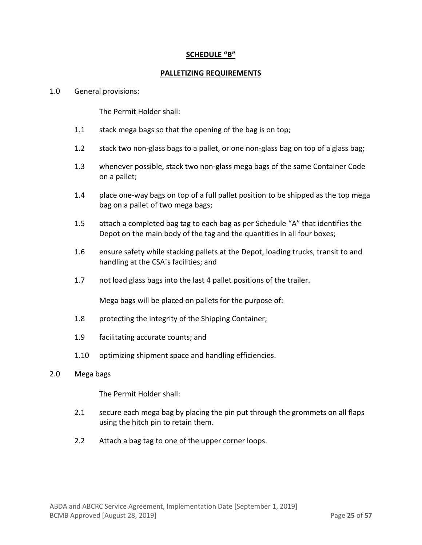### **SCHEDULE "B"**

#### **PALLETIZING REQUIREMENTS**

#### 1.0 General provisions:

The Permit Holder shall:

- 1.1 stack mega bags so that the opening of the bag is on top;
- 1.2 stack two non-glass bags to a pallet, or one non-glass bag on top of a glass bag;
- 1.3 whenever possible, stack two non-glass mega bags of the same Container Code on a pallet;
- 1.4 place one-way bags on top of a full pallet position to be shipped as the top mega bag on a pallet of two mega bags;
- 1.5 attach a completed bag tag to each bag as per Schedule "A" that identifies the Depot on the main body of the tag and the quantities in all four boxes;
- 1.6 ensure safety while stacking pallets at the Depot, loading trucks, transit to and handling at the CSA`s facilities; and
- 1.7 not load glass bags into the last 4 pallet positions of the trailer.

Mega bags will be placed on pallets for the purpose of:

- 1.8 protecting the integrity of the Shipping Container;
- 1.9 facilitating accurate counts; and
- 1.10 optimizing shipment space and handling efficiencies.
- 2.0 Mega bags

The Permit Holder shall:

- 2.1 secure each mega bag by placing the pin put through the grommets on all flaps using the hitch pin to retain them.
- 2.2 Attach a bag tag to one of the upper corner loops.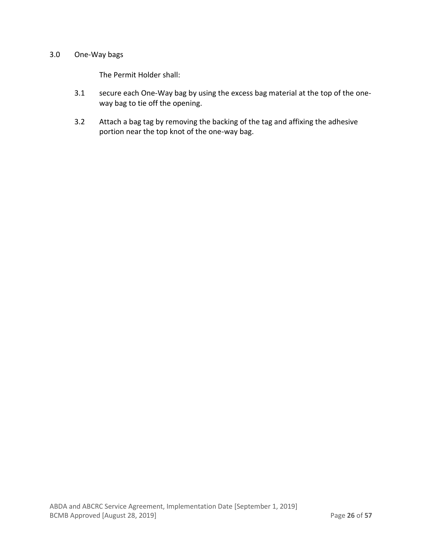#### 3.0 One-Way bags

The Permit Holder shall:

- 3.1 secure each One-Way bag by using the excess bag material at the top of the oneway bag to tie off the opening.
- 3.2 Attach a bag tag by removing the backing of the tag and affixing the adhesive portion near the top knot of the one-way bag.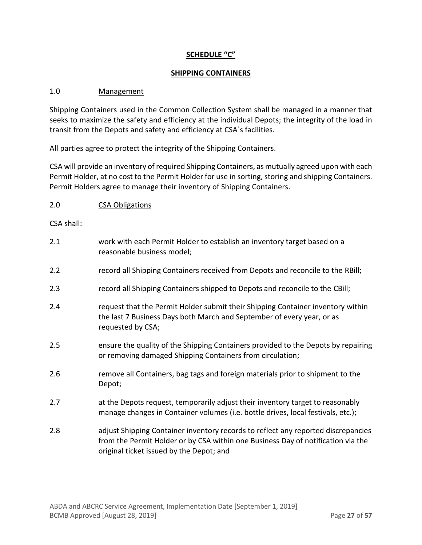# **SCHEDULE "C"**

#### **SHIPPING CONTAINERS**

#### 1.0 Management

Shipping Containers used in the Common Collection System shall be managed in a manner that seeks to maximize the safety and efficiency at the individual Depots; the integrity of the load in transit from the Depots and safety and efficiency at CSA`s facilities.

All parties agree to protect the integrity of the Shipping Containers.

CSA will provide an inventory of required Shipping Containers, as mutually agreed upon with each Permit Holder, at no cost to the Permit Holder for use in sorting, storing and shipping Containers. Permit Holders agree to manage their inventory of Shipping Containers.

2.0 CSA Obligations

CSA shall:

| 2.1 | work with each Permit Holder to establish an inventory target based on a<br>reasonable business model;                                                                                                            |
|-----|-------------------------------------------------------------------------------------------------------------------------------------------------------------------------------------------------------------------|
| 2.2 | record all Shipping Containers received from Depots and reconcile to the RBill;                                                                                                                                   |
| 2.3 | record all Shipping Containers shipped to Depots and reconcile to the CBill;                                                                                                                                      |
| 2.4 | request that the Permit Holder submit their Shipping Container inventory within<br>the last 7 Business Days both March and September of every year, or as<br>requested by CSA;                                    |
| 2.5 | ensure the quality of the Shipping Containers provided to the Depots by repairing<br>or removing damaged Shipping Containers from circulation;                                                                    |
| 2.6 | remove all Containers, bag tags and foreign materials prior to shipment to the<br>Depot;                                                                                                                          |
| 2.7 | at the Depots request, temporarily adjust their inventory target to reasonably<br>manage changes in Container volumes (i.e. bottle drives, local festivals, etc.);                                                |
| 2.8 | adjust Shipping Container inventory records to reflect any reported discrepancies<br>from the Permit Holder or by CSA within one Business Day of notification via the<br>original ticket issued by the Depot; and |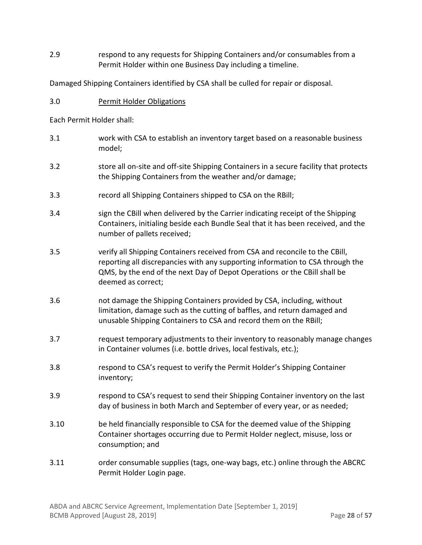2.9 respond to any requests for Shipping Containers and/or consumables from a Permit Holder within one Business Day including a timeline.

Damaged Shipping Containers identified by CSA shall be culled for repair or disposal.

3.0 Permit Holder Obligations

Each Permit Holder shall:

- 3.1 work with CSA to establish an inventory target based on a reasonable business model;
- 3.2 store all on-site and off-site Shipping Containers in a secure facility that protects the Shipping Containers from the weather and/or damage;
- 3.3 record all Shipping Containers shipped to CSA on the RBill;
- 3.4 sign the CBill when delivered by the Carrier indicating receipt of the Shipping Containers, initialing beside each Bundle Seal that it has been received, and the number of pallets received;
- 3.5 verify all Shipping Containers received from CSA and reconcile to the CBill, reporting all discrepancies with any supporting information to CSA through the QMS, by the end of the next Day of Depot Operations or the CBill shall be deemed as correct;
- 3.6 not damage the Shipping Containers provided by CSA, including, without limitation, damage such as the cutting of baffles, and return damaged and unusable Shipping Containers to CSA and record them on the RBill;
- 3.7 request temporary adjustments to their inventory to reasonably manage changes in Container volumes (i.e. bottle drives, local festivals, etc.);
- 3.8 respond to CSA's request to verify the Permit Holder's Shipping Container inventory;
- 3.9 respond to CSA's request to send their Shipping Container inventory on the last day of business in both March and September of every year, or as needed;
- 3.10 be held financially responsible to CSA for the deemed value of the Shipping Container shortages occurring due to Permit Holder neglect, misuse, loss or consumption; and
- 3.11 order consumable supplies (tags, one-way bags, etc.) online through the ABCRC Permit Holder Login page.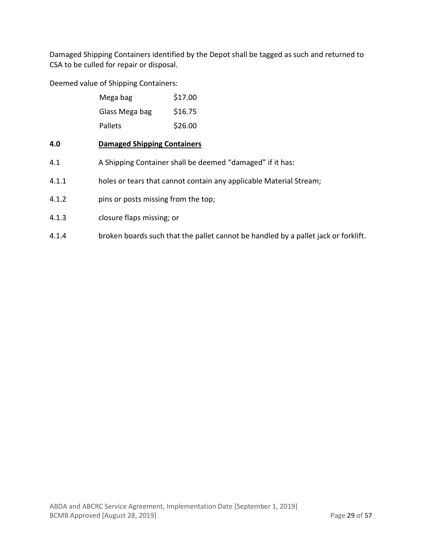Damaged Shipping Containers identified by the Depot shall be tagged as such and returned to CSA to be culled for repair or disposal.

Deemed value of Shipping Containers:

| Mega bag       | \$17.00 |
|----------------|---------|
| Glass Mega bag | \$16.75 |
| Pallets        | \$26.00 |

# **4.0 Damaged Shipping Containers**

- 4.1 A Shipping Container shall be deemed "damaged" if it has:
- 4.1.1 holes or tears that cannot contain any applicable Material Stream;
- 4.1.2 pins or posts missing from the top;
- 4.1.3 closure flaps missing; or
- 4.1.4 broken boards such that the pallet cannot be handled by a pallet jack or forklift.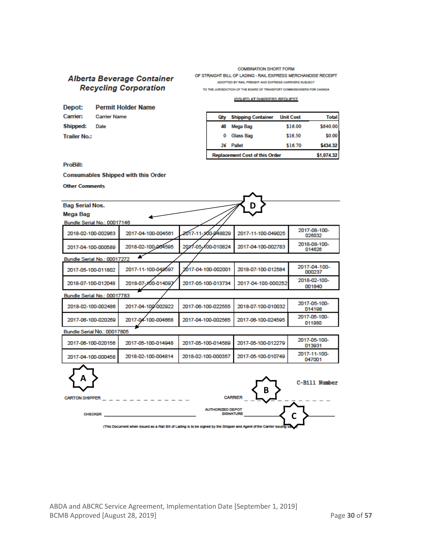# Alberta Beverage Container **Recycling Corporation**

**COMBINATION SHORT FORM** OF STRAIGHT BILL OF LADING - RAIL EXPRESS MERCHANDISE RECEIPT ADOPTED BY RAIL FREIGHT AND EXPRESS CARRIERS SUBJECT

TO THE JURISDICTION OF THE BOARD OF TRANSPORT COMMISSIONERS FOR CANADA

#### **ISSUED AT SHIPPERS REQUEST**

| Depot:               | Permit Holder Name    |
|----------------------|-----------------------|
|                      | Carrier: Carrier Name |
| <b>Shipped:</b> Date |                       |
| <b>Trailer No.:</b>  |                       |

| Qty                                   | <b>Shipping Container</b> | <b>Unit Cost</b> | Total      |
|---------------------------------------|---------------------------|------------------|------------|
| 40                                    | Mega Bag                  | \$16.00          | \$640.00   |
|                                       | Glass Bag                 | \$16.50          | \$0.00     |
| 26                                    | Pallet                    | \$16.70          | \$434.32   |
| <b>Replacement Cost of this Order</b> |                           |                  | \$1,074.32 |

#### **ProBill:**

#### **Consumables Shipped with this Order**

**Other Comments** 

| <b>Bag Serial Nos.</b>      |                    |                                             |                    |                        |
|-----------------------------|--------------------|---------------------------------------------|--------------------|------------------------|
| Mega Bag                    |                    |                                             |                    |                        |
| Bundle Serial No.: 00017146 |                    |                                             |                    |                        |
| 2018-02-100-002963          | 2017-04-100-004561 | 2017-11-100-048829                          | 2017-11-100-049025 | 2017-08-100-<br>026032 |
| 2017-04-100-000589          | 2018-02-100-004595 | 2017-05-100-010824                          | 2017-04-100-002783 | 2018-08-100-<br>014626 |
| Bundle Serial No.: 00017272 |                    |                                             |                    |                        |
| 2017-05-100-011802          | 2017-11-100-049597 | 2017-04-100-002001                          | 2018-07-100-012584 | 2017-04-100-<br>000237 |
| 2018-07-100-012048          | 2018-07-100-014097 | 2017-05-100-013734                          | 2017-04-100-000252 | 2018-02-100-<br>001840 |
| Bundle Serial No.: 00017783 |                    |                                             |                    |                        |
| 2018-02-100-002486          | 2017-04-100-002922 | 2017-06-100-022555                          | 2018-07-100-010032 | 2017-05-100-<br>014198 |
| 2017-06-100-020269          | 2017-04-100-004668 | 2017-04-100-002565                          | 2017-06-100-024595 | 2017-05-100-<br>011980 |
| Bundle Serial No.: 00017805 |                    |                                             |                    |                        |
| 2017-06-100-020156          | 2017-05-100-014948 | 2017-05-100-014589                          | 2017-05-100-012279 | 2017-05-100-<br>013931 |
| 2017-04-100-000458          | 2018-02-100-004814 | 2018-02-100-000357                          | 2017-05-100-010749 | 2017-11-100-<br>047001 |
| Α<br><b>CARTON SHIPPER</b>  |                    | <b>CARRIER</b>                              | B                  | C-Bill Number          |
| <b>CHECKER</b>              |                    | <b>AUTHORIZED DEPOT</b><br><b>SIGNATURE</b> |                    |                        |

(This Document when issued as a Rail Bill of Lading is to be signed by the Shipper and Agent of the Carrier issuing sa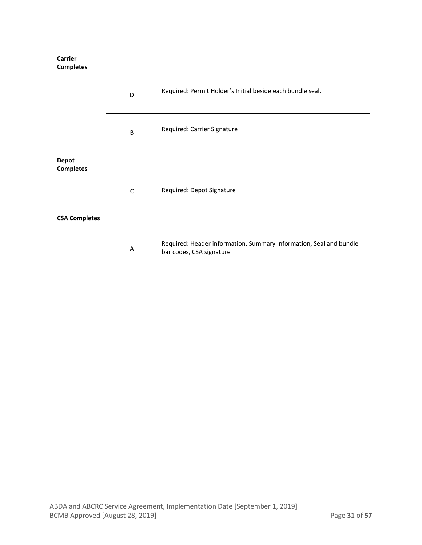**Carrier Completes**

|                                  | D | Required: Permit Holder's Initial beside each bundle seal.                                     |  |
|----------------------------------|---|------------------------------------------------------------------------------------------------|--|
|                                  | B | Required: Carrier Signature                                                                    |  |
| <b>Depot</b><br><b>Completes</b> |   |                                                                                                |  |
|                                  | C | Required: Depot Signature                                                                      |  |
| <b>CSA Completes</b>             |   |                                                                                                |  |
|                                  | Α | Required: Header information, Summary Information, Seal and bundle<br>bar codes, CSA signature |  |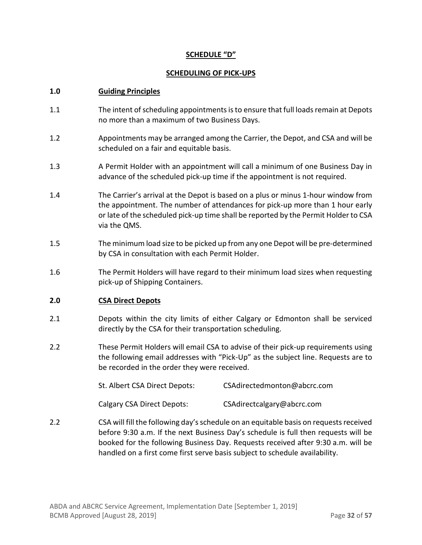### **SCHEDULE "D"**

#### **SCHEDULING OF PICK-UPS**

#### **1.0 Guiding Principles**

- 1.1 The intent of scheduling appointments is to ensure that full loads remain at Depots no more than a maximum of two Business Days.
- 1.2 Appointments may be arranged among the Carrier, the Depot, and CSA and will be scheduled on a fair and equitable basis.
- 1.3 A Permit Holder with an appointment will call a minimum of one Business Day in advance of the scheduled pick-up time if the appointment is not required.
- 1.4 The Carrier's arrival at the Depot is based on a plus or minus 1-hour window from the appointment. The number of attendances for pick-up more than 1 hour early or late of the scheduled pick-up time shall be reported by the Permit Holder to CSA via the QMS.
- 1.5 The minimum load size to be picked up from any one Depot will be pre-determined by CSA in consultation with each Permit Holder.
- 1.6 The Permit Holders will have regard to their minimum load sizes when requesting pick-up of Shipping Containers.

#### **2.0 CSA Direct Depots**

- 2.1 Depots within the city limits of either Calgary or Edmonton shall be serviced directly by the CSA for their transportation scheduling.
- 2.2 These Permit Holders will email CSA to advise of their pick-up requirements using the following email addresses with "Pick-Up" as the subject line. Requests are to be recorded in the order they were received.

| St. Albert CSA Direct Depots: | CSAdirectedmonton@abcrc.com |
|-------------------------------|-----------------------------|
|                               |                             |

Calgary CSA Direct Depots: CSAdirectcalgary@abcrc.com

2.2 CSA will fill the following day'sschedule on an equitable basis on requests received before 9:30 a.m. If the next Business Day's schedule is full then requests will be booked for the following Business Day. Requests received after 9:30 a.m. will be handled on a first come first serve basis subject to schedule availability.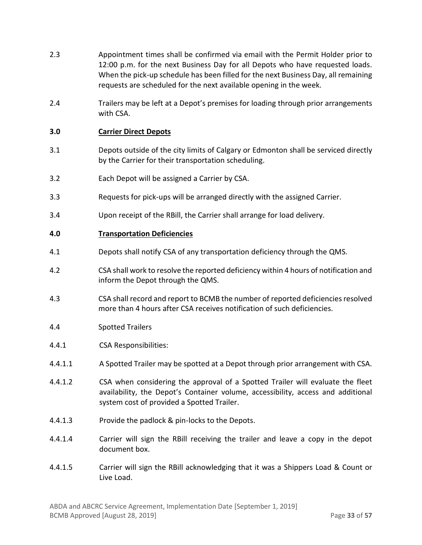- 2.3 Appointment times shall be confirmed via email with the Permit Holder prior to 12:00 p.m. for the next Business Day for all Depots who have requested loads. When the pick-up schedule has been filled for the next Business Day, all remaining requests are scheduled for the next available opening in the week.
- 2.4 Trailers may be left at a Depot's premises for loading through prior arrangements with CSA.

### **3.0 Carrier Direct Depots**

- 3.1 Depots outside of the city limits of Calgary or Edmonton shall be serviced directly by the Carrier for their transportation scheduling.
- 3.2 Each Depot will be assigned a Carrier by CSA.
- 3.3 Requests for pick-ups will be arranged directly with the assigned Carrier.
- 3.4 Upon receipt of the RBill, the Carrier shall arrange for load delivery.

#### **4.0 Transportation Deficiencies**

- 4.1 Depots shall notify CSA of any transportation deficiency through the QMS.
- 4.2 CSA shall work to resolve the reported deficiency within 4 hours of notification and inform the Depot through the QMS.
- 4.3 CSA shall record and report to BCMB the number of reported deficiencies resolved more than 4 hours after CSA receives notification of such deficiencies.
- 4.4 Spotted Trailers
- 4.4.1 CSA Responsibilities:
- 4.4.1.1 A Spotted Trailer may be spotted at a Depot through prior arrangement with CSA.
- 4.4.1.2 CSA when considering the approval of a Spotted Trailer will evaluate the fleet availability, the Depot's Container volume, accessibility, access and additional system cost of provided a Spotted Trailer.
- 4.4.1.3 Provide the padlock & pin-locks to the Depots.
- 4.4.1.4 Carrier will sign the RBill receiving the trailer and leave a copy in the depot document box.
- 4.4.1.5 Carrier will sign the RBill acknowledging that it was a Shippers Load & Count or Live Load.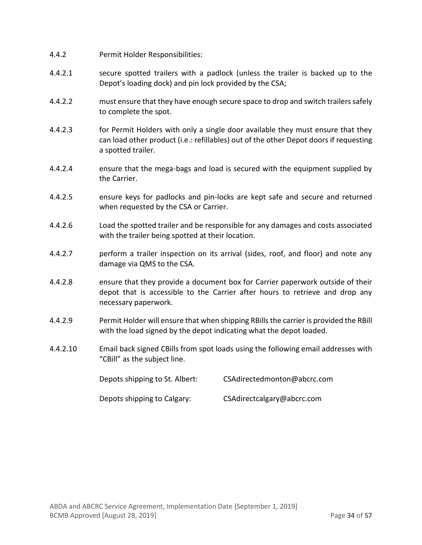- 4.4.2 Permit Holder Responsibilities:
- 4.4.2.1 secure spotted trailers with a padlock (unless the trailer is backed up to the Depot's loading dock) and pin lock provided by the CSA;
- 4.4.2.2 must ensure that they have enough secure space to drop and switch trailers safely to complete the spot.
- 4.4.2.3 for Permit Holders with only a single door available they must ensure that they can load other product (i.e.: refillables) out of the other Depot doors if requesting a spotted trailer.
- 4.4.2.4 ensure that the mega-bags and load is secured with the equipment supplied by the Carrier.
- 4.4.2.5 ensure keys for padlocks and pin-locks are kept safe and secure and returned when requested by the CSA or Carrier.
- 4.4.2.6 Load the spotted trailer and be responsible for any damages and costs associated with the trailer being spotted at their location.
- 4.4.2.7 perform a trailer inspection on its arrival (sides, roof, and floor) and note any damage via QMS to the CSA.
- 4.4.2.8 ensure that they provide a document box for Carrier paperwork outside of their depot that is accessible to the Carrier after hours to retrieve and drop any necessary paperwork.
- 4.4.2.9 Permit Holder will ensure that when shipping RBills the carrier is provided the RBill with the load signed by the depot indicating what the depot loaded.
- 4.4.2.10 Email back signed CBills from spot loads using the following email addresses with "CBill" as the subject line.

| Depots shipping to St. Albert: | CSAdirectedmonton@abcrc.com |
|--------------------------------|-----------------------------|
| Depots shipping to Calgary:    | CSAdirectcalgary@abcrc.com  |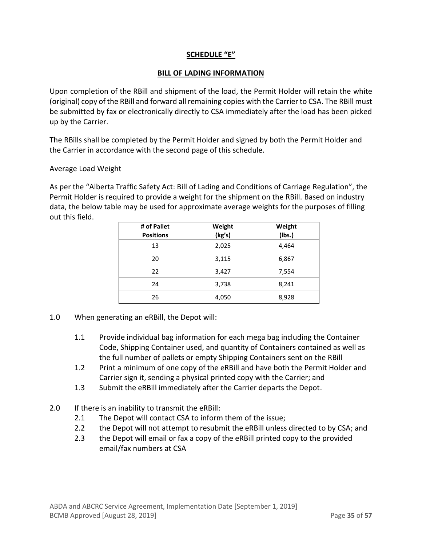# **SCHEDULE "E"**

#### **BILL OF LADING INFORMATION**

Upon completion of the RBill and shipment of the load, the Permit Holder will retain the white (original) copy of the RBill and forward all remaining copies with the Carrier to CSA. The RBill must be submitted by fax or electronically directly to CSA immediately after the load has been picked up by the Carrier.

The RBills shall be completed by the Permit Holder and signed by both the Permit Holder and the Carrier in accordance with the second page of this schedule.

#### Average Load Weight

As per the "Alberta Traffic Safety Act: Bill of Lading and Conditions of Carriage Regulation", the Permit Holder is required to provide a weight for the shipment on the RBill. Based on industry data, the below table may be used for approximate average weights for the purposes of filling out this field.

| # of Pallet<br><b>Positions</b> | Weight<br>(kg's) | Weight<br>(Ibs.) |
|---------------------------------|------------------|------------------|
| 13                              | 2,025            | 4,464            |
| 20                              | 3,115            | 6,867            |
| 22                              | 3,427            | 7,554            |
| 24                              | 3,738            | 8,241            |
| 26                              | 4,050            | 8,928            |

- 1.0 When generating an eRBill, the Depot will:
	- 1.1 Provide individual bag information for each mega bag including the Container Code, Shipping Container used, and quantity of Containers contained as well as the full number of pallets or empty Shipping Containers sent on the RBill
	- 1.2 Print a minimum of one copy of the eRBill and have both the Permit Holder and Carrier sign it, sending a physical printed copy with the Carrier; and
	- 1.3 Submit the eRBill immediately after the Carrier departs the Depot.
- 2.0 If there is an inability to transmit the eRBill:
	- 2.1 The Depot will contact CSA to inform them of the issue;
	- 2.2 the Depot will not attempt to resubmit the eRBill unless directed to by CSA; and
	- 2.3 the Depot will email or fax a copy of the eRBill printed copy to the provided email/fax numbers at CSA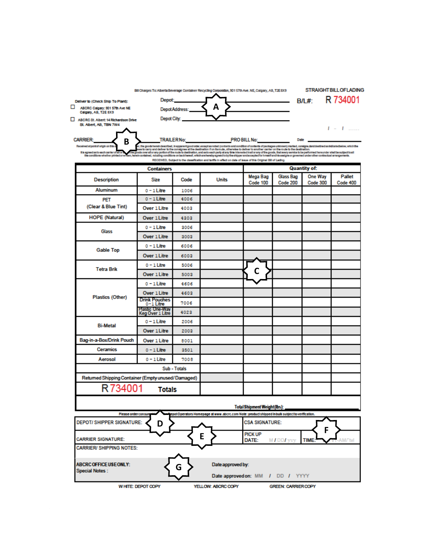|                                                                                                                                                                                                                                                                                                                   | Bill Charges To: Alberta Beverage Container Recycling Corporation, 901 57th Ave. NE, Calgary, AB, T2E 8X9                                                                                                   |               |                                                                                                                                                                                                                                   |                                    |                                                                                                                                                                                                                                      |                            | <b>STRAIGHT BILL OF LADING</b> |
|-------------------------------------------------------------------------------------------------------------------------------------------------------------------------------------------------------------------------------------------------------------------------------------------------------------------|-------------------------------------------------------------------------------------------------------------------------------------------------------------------------------------------------------------|---------------|-----------------------------------------------------------------------------------------------------------------------------------------------------------------------------------------------------------------------------------|------------------------------------|--------------------------------------------------------------------------------------------------------------------------------------------------------------------------------------------------------------------------------------|----------------------------|--------------------------------|
| Deliver to (Check Ship To Plant):                                                                                                                                                                                                                                                                                 | Depot:                                                                                                                                                                                                      |               |                                                                                                                                                                                                                                   |                                    | <u> The Common State State State State State State State State State State State State State State State State State State State State State State State State State State State State State State State State State State State</u> | <b>B/L#:</b>               | R 734001                       |
| ⊔<br>ABCRC Calgary: 901 57th Ave NE<br>Calgary, AB, T2E 8X9                                                                                                                                                                                                                                                       |                                                                                                                                                                                                             | DepotAddress: | A                                                                                                                                                                                                                                 |                                    |                                                                                                                                                                                                                                      |                            |                                |
| ABCRC St. Albert 14 Richardson Drive<br>St. Albert, AB, TBN 7W4                                                                                                                                                                                                                                                   | Depot City:                                                                                                                                                                                                 |               |                                                                                                                                                                                                                                   |                                    |                                                                                                                                                                                                                                      |                            |                                |
|                                                                                                                                                                                                                                                                                                                   |                                                                                                                                                                                                             |               |                                                                                                                                                                                                                                   |                                    |                                                                                                                                                                                                                                      |                            | $I = I$                        |
| <b>CARRIER:</b><br>В                                                                                                                                                                                                                                                                                              | <b>TRAILERNo:</b>                                                                                                                                                                                           |               |                                                                                                                                                                                                                                   | <b>PRO BILL No:</b>                | <b>Date</b>                                                                                                                                                                                                                          |                            |                                |
| Received at point of origin on this<br>It is agreed as to each carrier of all or<br>specialized on the first of a successful capital constitution of the community of the second constitution of the second constitution of the second constant constant announced of the second of the constant announced in the | the goods over all or any portion of the route to destination, and as to each party at any time interested in all or any of the goods, that every service to be performed hereunder shall be subject to all |               | r, the goods herein deactibed, in appenent good order considerations and considered contents of packages uninown) marked, comigne, and dealined as indicated below, which the<br>sea to carry and deliver to the consignee at the |                                    |                                                                                                                                                                                                                                      |                            |                                |
|                                                                                                                                                                                                                                                                                                                   |                                                                                                                                                                                                             |               | RECEIVED, Subject to the classification and tariffs in effect on date of issue of this Original Bill of Lading.                                                                                                                   |                                    |                                                                                                                                                                                                                                      |                            |                                |
|                                                                                                                                                                                                                                                                                                                   | <b>Containers</b>                                                                                                                                                                                           |               |                                                                                                                                                                                                                                   |                                    |                                                                                                                                                                                                                                      | <b>Quantity of:</b>        |                                |
| <b>Description</b>                                                                                                                                                                                                                                                                                                | Size                                                                                                                                                                                                        | Code          | <b>Units</b>                                                                                                                                                                                                                      | Mega Bag<br>Code 100               | Glass Bag<br>Code 200                                                                                                                                                                                                                | One Way<br><b>Code 300</b> | Pallet<br>Code 400             |
| <b>Aluminum</b>                                                                                                                                                                                                                                                                                                   | $0 - 1$ Litre                                                                                                                                                                                               | 1006          |                                                                                                                                                                                                                                   |                                    |                                                                                                                                                                                                                                      |                            |                                |
| PET                                                                                                                                                                                                                                                                                                               | $0 - 1$ Litre                                                                                                                                                                                               | 4006          |                                                                                                                                                                                                                                   |                                    |                                                                                                                                                                                                                                      |                            |                                |
| (Clear & Blue Tint)                                                                                                                                                                                                                                                                                               | Over 1 Litre                                                                                                                                                                                                | 4003          |                                                                                                                                                                                                                                   |                                    |                                                                                                                                                                                                                                      |                            |                                |
| <b>HOPE (Natural)</b>                                                                                                                                                                                                                                                                                             | <b>Over 1 Litre</b>                                                                                                                                                                                         | 4303          |                                                                                                                                                                                                                                   |                                    |                                                                                                                                                                                                                                      |                            |                                |
| Glass                                                                                                                                                                                                                                                                                                             | 0 - 1 Litre                                                                                                                                                                                                 | 3006          |                                                                                                                                                                                                                                   |                                    |                                                                                                                                                                                                                                      |                            |                                |
|                                                                                                                                                                                                                                                                                                                   | <b>Over 1 Litre</b>                                                                                                                                                                                         | 3003          |                                                                                                                                                                                                                                   |                                    |                                                                                                                                                                                                                                      |                            |                                |
| <b>Gable Top</b>                                                                                                                                                                                                                                                                                                  | 0 - 1 Litre                                                                                                                                                                                                 | 6006          |                                                                                                                                                                                                                                   |                                    |                                                                                                                                                                                                                                      |                            |                                |
|                                                                                                                                                                                                                                                                                                                   | Over 1 Litre                                                                                                                                                                                                | 6003          |                                                                                                                                                                                                                                   |                                    |                                                                                                                                                                                                                                      |                            |                                |
| <b>Tetra Brik</b>                                                                                                                                                                                                                                                                                                 | $0 - 1$ Litre                                                                                                                                                                                               | 5006          |                                                                                                                                                                                                                                   |                                    |                                                                                                                                                                                                                                      |                            |                                |
|                                                                                                                                                                                                                                                                                                                   | Over 1 Litre                                                                                                                                                                                                | 5003          |                                                                                                                                                                                                                                   | C                                  |                                                                                                                                                                                                                                      |                            |                                |
|                                                                                                                                                                                                                                                                                                                   | $0 - 1$ Litre                                                                                                                                                                                               | 4606          |                                                                                                                                                                                                                                   |                                    |                                                                                                                                                                                                                                      |                            |                                |
|                                                                                                                                                                                                                                                                                                                   | Over 1 Litre                                                                                                                                                                                                | 4603          |                                                                                                                                                                                                                                   |                                    |                                                                                                                                                                                                                                      |                            |                                |
| Plastics (Other)                                                                                                                                                                                                                                                                                                  | <b>Drink Pouches</b><br>0-1 Litre                                                                                                                                                                           | 7006          |                                                                                                                                                                                                                                   |                                    |                                                                                                                                                                                                                                      |                            |                                |
|                                                                                                                                                                                                                                                                                                                   | <b>Mastic One-Way</b><br>Keg Over 1 Litre                                                                                                                                                                   | 4023          |                                                                                                                                                                                                                                   |                                    |                                                                                                                                                                                                                                      |                            |                                |
|                                                                                                                                                                                                                                                                                                                   | $0 - 1$ Litre                                                                                                                                                                                               | 2006          |                                                                                                                                                                                                                                   |                                    |                                                                                                                                                                                                                                      |                            |                                |
| <b>Bi-Metal</b>                                                                                                                                                                                                                                                                                                   | Over 1 Litre                                                                                                                                                                                                | 2003          |                                                                                                                                                                                                                                   |                                    |                                                                                                                                                                                                                                      |                            |                                |
| Bag-in-a-Box/Drink Pouch                                                                                                                                                                                                                                                                                          | Over 1 Litre                                                                                                                                                                                                | 8001          |                                                                                                                                                                                                                                   |                                    |                                                                                                                                                                                                                                      |                            |                                |
| <b>Ceramics</b>                                                                                                                                                                                                                                                                                                   | 0 - 1 Litre                                                                                                                                                                                                 | 3501          |                                                                                                                                                                                                                                   |                                    |                                                                                                                                                                                                                                      |                            |                                |
| Aerosol                                                                                                                                                                                                                                                                                                           | 0 - 1 Litre                                                                                                                                                                                                 | 7008          |                                                                                                                                                                                                                                   |                                    |                                                                                                                                                                                                                                      |                            |                                |
|                                                                                                                                                                                                                                                                                                                   |                                                                                                                                                                                                             | Sub - Totals  |                                                                                                                                                                                                                                   |                                    |                                                                                                                                                                                                                                      |                            |                                |
| Returned Shipping Container (Empty unused/Damaged)                                                                                                                                                                                                                                                                |                                                                                                                                                                                                             |               |                                                                                                                                                                                                                                   |                                    |                                                                                                                                                                                                                                      |                            |                                |
| <b>Totals</b>                                                                                                                                                                                                                                                                                                     |                                                                                                                                                                                                             |               |                                                                                                                                                                                                                                   |                                    |                                                                                                                                                                                                                                      |                            |                                |
|                                                                                                                                                                                                                                                                                                                   |                                                                                                                                                                                                             |               |                                                                                                                                                                                                                                   |                                    |                                                                                                                                                                                                                                      |                            |                                |
|                                                                                                                                                                                                                                                                                                                   |                                                                                                                                                                                                             |               |                                                                                                                                                                                                                                   | <b>Total Shipment Weight(lbs):</b> |                                                                                                                                                                                                                                      |                            |                                |
| epot Operators Homepage at www.abcrc.com Note : product shipped in bulk subject to verfication.<br>Please order consur<br><b>DEPOT/ SHIPPER SIGNATURE:</b><br><b>CSA SIGNATURE:</b><br>D                                                                                                                          |                                                                                                                                                                                                             |               |                                                                                                                                                                                                                                   |                                    |                                                                                                                                                                                                                                      |                            |                                |
| E<br><b>CARRIER SIGNATURE:</b>                                                                                                                                                                                                                                                                                    |                                                                                                                                                                                                             |               |                                                                                                                                                                                                                                   | <b>PICK UP</b><br>DATE:            | MIDDI yvy                                                                                                                                                                                                                            | F<br>TIME:                 | AM/"tvl                        |
| <b>CARRIER/ SHIPPING NOTES:</b>                                                                                                                                                                                                                                                                                   |                                                                                                                                                                                                             |               |                                                                                                                                                                                                                                   |                                    |                                                                                                                                                                                                                                      |                            |                                |
| <b>ABCRC OFFICE USE ONLY:</b><br>Date approved by:<br>G<br><b>Special Notes:</b><br>Date approved on: MM / DD / YYYY                                                                                                                                                                                              |                                                                                                                                                                                                             |               |                                                                                                                                                                                                                                   |                                    |                                                                                                                                                                                                                                      |                            |                                |
| YELLOW: ABCRC COPY<br>WHITE: DEPOT COPY<br><b>GREEN: CARRIER COPY</b>                                                                                                                                                                                                                                             |                                                                                                                                                                                                             |               |                                                                                                                                                                                                                                   |                                    |                                                                                                                                                                                                                                      |                            |                                |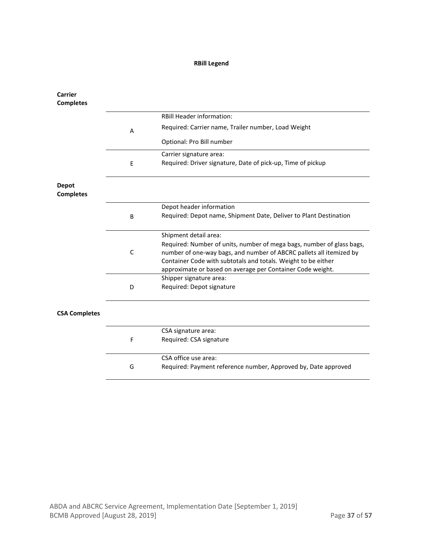# **RBill Legend**

| <b>Carrier</b><br><b>Completes</b> |             |                                                                                                                                              |
|------------------------------------|-------------|----------------------------------------------------------------------------------------------------------------------------------------------|
|                                    |             | <b>RBill Header information:</b>                                                                                                             |
|                                    | Α           | Required: Carrier name, Trailer number, Load Weight                                                                                          |
|                                    |             | Optional: Pro Bill number                                                                                                                    |
|                                    |             | Carrier signature area:                                                                                                                      |
|                                    | E           | Required: Driver signature, Date of pick-up, Time of pickup                                                                                  |
| <b>Depot</b><br><b>Completes</b>   |             |                                                                                                                                              |
|                                    |             | Depot header information                                                                                                                     |
|                                    | B           | Required: Depot name, Shipment Date, Deliver to Plant Destination                                                                            |
|                                    |             | Shipment detail area:                                                                                                                        |
|                                    | $\mathsf C$ | Required: Number of units, number of mega bags, number of glass bags,<br>number of one-way bags, and number of ABCRC pallets all itemized by |
|                                    |             | Container Code with subtotals and totals. Weight to be either                                                                                |
|                                    |             | approximate or based on average per Container Code weight.                                                                                   |
|                                    |             | Shipper signature area:                                                                                                                      |
|                                    | D           | Required: Depot signature                                                                                                                    |
| <b>CSA Completes</b>               |             |                                                                                                                                              |
|                                    |             | CSA signature area:                                                                                                                          |
|                                    | F           | Required: CSA signature                                                                                                                      |
|                                    |             | CSA office use area:                                                                                                                         |
|                                    | G           | Required: Payment reference number, Approved by, Date approved                                                                               |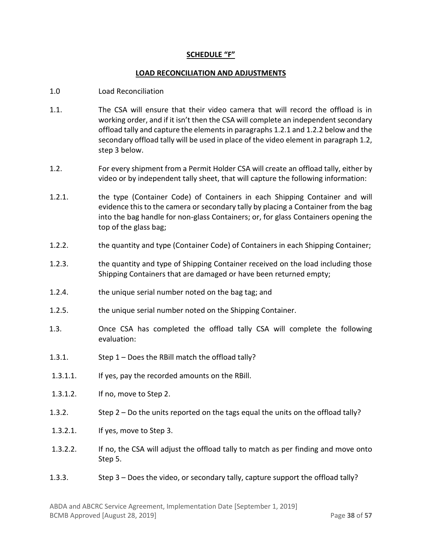#### **SCHEDULE "F"**

#### **LOAD RECONCILIATION AND ADJUSTMENTS**

- 1.0 Load Reconciliation
- 1.1. The CSA will ensure that their video camera that will record the offload is in working order, and if it isn't then the CSA will complete an independent secondary offload tally and capture the elements in paragraphs 1.2.1 and 1.2.2 below and the secondary offload tally will be used in place of the video element in paragraph 1.2, step 3 below.
- 1.2. For every shipment from a Permit Holder CSA will create an offload tally, either by video or by independent tally sheet, that will capture the following information:
- 1.2.1. the type (Container Code) of Containers in each Shipping Container and will evidence this to the camera or secondary tally by placing a Container from the bag into the bag handle for non-glass Containers; or, for glass Containers opening the top of the glass bag;
- 1.2.2. the quantity and type (Container Code) of Containers in each Shipping Container;
- 1.2.3. the quantity and type of Shipping Container received on the load including those Shipping Containers that are damaged or have been returned empty;
- 1.2.4. the unique serial number noted on the bag tag; and
- 1.2.5. the unique serial number noted on the Shipping Container.
- 1.3. Once CSA has completed the offload tally CSA will complete the following evaluation:
- 1.3.1. Step 1 Does the RBill match the offload tally?
- 1.3.1.1. If yes, pay the recorded amounts on the RBill.
- 1.3.1.2. If no, move to Step 2.
- 1.3.2. Step 2 Do the units reported on the tags equal the units on the offload tally?
- 1.3.2.1. If yes, move to Step 3.
- 1.3.2.2. If no, the CSA will adjust the offload tally to match as per finding and move onto Step 5.
- 1.3.3. Step 3 Does the video, or secondary tally, capture support the offload tally?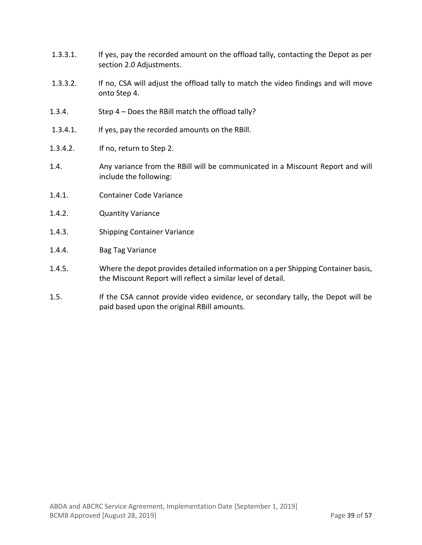- 1.3.3.1. If yes, pay the recorded amount on the offload tally, contacting the Depot as per section 2.0 Adjustments.
- 1.3.3.2. If no, CSA will adjust the offload tally to match the video findings and will move onto Step 4.
- 1.3.4. Step 4 Does the RBill match the offload tally?
- 1.3.4.1. If yes, pay the recorded amounts on the RBill.
- 1.3.4.2. If no, return to Step 2.
- 1.4. Any variance from the RBill will be communicated in a Miscount Report and will include the following:
- 1.4.1. Container Code Variance
- 1.4.2. Quantity Variance
- 1.4.3. Shipping Container Variance
- 1.4.4. Bag Tag Variance
- 1.4.5. Where the depot provides detailed information on a per Shipping Container basis, the Miscount Report will reflect a similar level of detail.
- 1.5. If the CSA cannot provide video evidence, or secondary tally, the Depot will be paid based upon the original RBill amounts.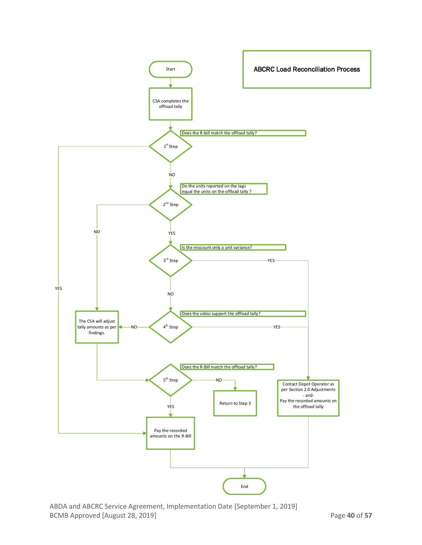

ABDA and ABCRC Service Agreement, Implementation Date [September 1, 2019] BCMB Approved [August 28, 2019] **Page 40 of 57**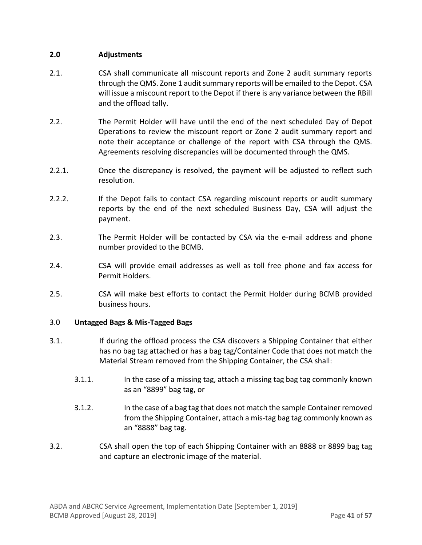### **2.0 Adjustments**

- 2.1. CSA shall communicate all miscount reports and Zone 2 audit summary reports through the QMS. Zone 1 audit summary reports will be emailed to the Depot. CSA will issue a miscount report to the Depot if there is any variance between the RBill and the offload tally.
- 2.2. The Permit Holder will have until the end of the next scheduled Day of Depot Operations to review the miscount report or Zone 2 audit summary report and note their acceptance or challenge of the report with CSA through the QMS. Agreements resolving discrepancies will be documented through the QMS.
- 2.2.1. Once the discrepancy is resolved, the payment will be adjusted to reflect such resolution.
- 2.2.2. If the Depot fails to contact CSA regarding miscount reports or audit summary reports by the end of the next scheduled Business Day, CSA will adjust the payment.
- 2.3. The Permit Holder will be contacted by CSA via the e-mail address and phone number provided to the BCMB.
- 2.4. CSA will provide email addresses as well as toll free phone and fax access for Permit Holders.
- 2.5. CSA will make best efforts to contact the Permit Holder during BCMB provided business hours.

#### 3.0 **Untagged Bags & Mis-Tagged Bags**

- 3.1. If during the offload process the CSA discovers a Shipping Container that either has no bag tag attached or has a bag tag/Container Code that does not match the Material Stream removed from the Shipping Container, the CSA shall:
	- 3.1.1. In the case of a missing tag, attach a missing tag bag tag commonly known as an "8899" bag tag, or
	- 3.1.2. In the case of a bag tag that does not match the sample Container removed from the Shipping Container, attach a mis-tag bag tag commonly known as an "8888" bag tag.
- 3.2. CSA shall open the top of each Shipping Container with an 8888 or 8899 bag tag and capture an electronic image of the material.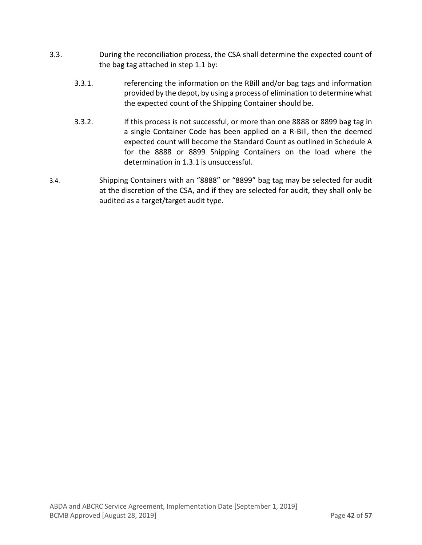- 3.3. During the reconciliation process, the CSA shall determine the expected count of the bag tag attached in step 1.1 by:
	- 3.3.1. referencing the information on the RBill and/or bag tags and information provided by the depot, by using a process of elimination to determine what the expected count of the Shipping Container should be.
	- 3.3.2. If this process is not successful, or more than one 8888 or 8899 bag tag in a single Container Code has been applied on a R-Bill, then the deemed expected count will become the Standard Count as outlined in Schedule A for the 8888 or 8899 Shipping Containers on the load where the determination in 1.3.1 is unsuccessful.
- 3.4. Shipping Containers with an "8888" or "8899" bag tag may be selected for audit at the discretion of the CSA, and if they are selected for audit, they shall only be audited as a target/target audit type.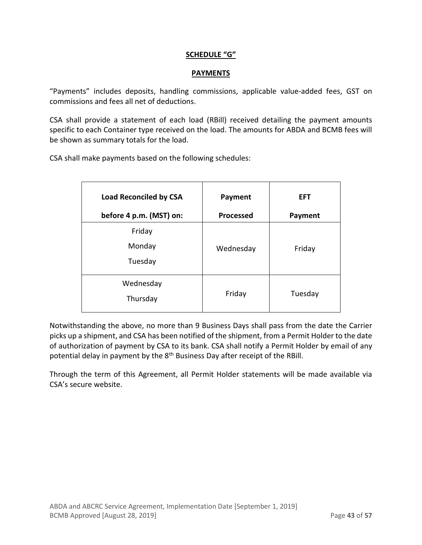### **SCHEDULE "G"**

### **PAYMENTS**

"Payments" includes deposits, handling commissions, applicable value-added fees, GST on commissions and fees all net of deductions.

CSA shall provide a statement of each load (RBill) received detailing the payment amounts specific to each Container type received on the load. The amounts for ABDA and BCMB fees will be shown as summary totals for the load.

CSA shall make payments based on the following schedules:

| <b>Load Reconciled by CSA</b><br>before 4 p.m. (MST) on: | Payment<br><b>Processed</b> | <b>EFT</b><br><b>Payment</b> |
|----------------------------------------------------------|-----------------------------|------------------------------|
| Friday<br>Monday<br>Tuesday                              | Wednesday                   | Friday                       |
| Wednesday<br>Thursday                                    | Friday                      | Tuesday                      |

Notwithstanding the above, no more than 9 Business Days shall pass from the date the Carrier picks up a shipment, and CSA has been notified of the shipment, from a Permit Holder to the date of authorization of payment by CSA to its bank. CSA shall notify a Permit Holder by email of any potential delay in payment by the 8<sup>th</sup> Business Day after receipt of the RBill.

Through the term of this Agreement, all Permit Holder statements will be made available via CSA's secure website.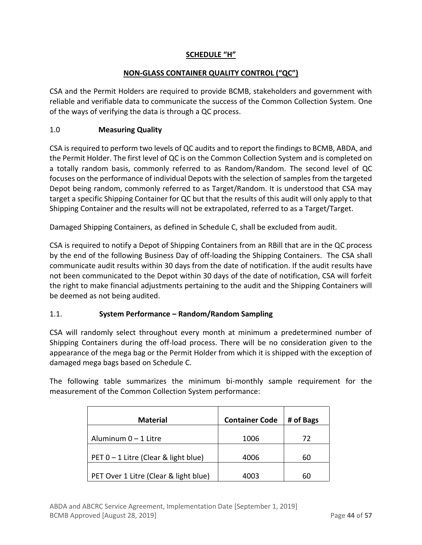# **SCHEDULE "H"**

# **NON-GLASS CONTAINER QUALITY CONTROL ("QC")**

CSA and the Permit Holders are required to provide BCMB, stakeholders and government with reliable and verifiable data to communicate the success of the Common Collection System. One of the ways of verifying the data is through a QC process.

# 1.0 **Measuring Quality**

CSA is required to perform two levels of QC audits and to report the findings to BCMB, ABDA, and the Permit Holder. The first level of QC is on the Common Collection System and is completed on a totally random basis, commonly referred to as Random/Random. The second level of QC focuses on the performance of individual Depots with the selection of samples from the targeted Depot being random, commonly referred to as Target/Random. It is understood that CSA may target a specific Shipping Container for QC but that the results of this audit will only apply to that Shipping Container and the results will not be extrapolated, referred to as a Target/Target.

Damaged Shipping Containers, as defined in Schedule C, shall be excluded from audit.

CSA is required to notify a Depot of Shipping Containers from an RBill that are in the QC process by the end of the following Business Day of off-loading the Shipping Containers. The CSA shall communicate audit results within 30 days from the date of notification. If the audit results have not been communicated to the Depot within 30 days of the date of notification, CSA will forfeit the right to make financial adjustments pertaining to the audit and the Shipping Containers will be deemed as not being audited.

# 1.1. **System Performance – Random/Random Sampling**

CSA will randomly select throughout every month at minimum a predetermined number of Shipping Containers during the off-load process. There will be no consideration given to the appearance of the mega bag or the Permit Holder from which it is shipped with the exception of damaged mega bags based on Schedule C.

The following table summarizes the minimum bi-monthly sample requirement for the measurement of the Common Collection System performance:

| <b>Material</b>                       | <b>Container Code</b> | # of Bags |
|---------------------------------------|-----------------------|-----------|
| Aluminum $0 - 1$ Litre                | 1006                  | 72        |
| PET 0 - 1 Litre (Clear & light blue)  | 4006                  | 60        |
| PET Over 1 Litre (Clear & light blue) | 4003                  | 60        |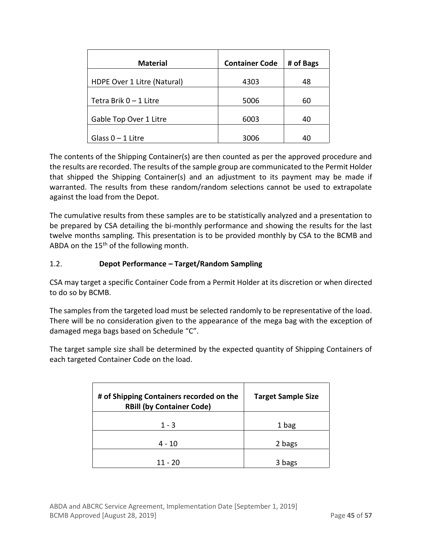| <b>Material</b>             | <b>Container Code</b> | # of Bags |
|-----------------------------|-----------------------|-----------|
| HDPE Over 1 Litre (Natural) | 4303                  | 48        |
|                             |                       |           |
| Tetra Brik $0 - 1$ Litre    | 5006                  | 60        |
| Gable Top Over 1 Litre      | 6003                  | 40        |
| Glass $0 - 1$ Litre         | 3006                  | 40        |

The contents of the Shipping Container(s) are then counted as per the approved procedure and the results are recorded. The results of the sample group are communicated to the Permit Holder that shipped the Shipping Container(s) and an adjustment to its payment may be made if warranted. The results from these random/random selections cannot be used to extrapolate against the load from the Depot.

The cumulative results from these samples are to be statistically analyzed and a presentation to be prepared by CSA detailing the bi-monthly performance and showing the results for the last twelve months sampling. This presentation is to be provided monthly by CSA to the BCMB and ABDA on the 15<sup>th</sup> of the following month.

# 1.2. **Depot Performance – Target/Random Sampling**

CSA may target a specific Container Code from a Permit Holder at its discretion or when directed to do so by BCMB.

The samples from the targeted load must be selected randomly to be representative of the load. There will be no consideration given to the appearance of the mega bag with the exception of damaged mega bags based on Schedule "C".

The target sample size shall be determined by the expected quantity of Shipping Containers of each targeted Container Code on the load.

| # of Shipping Containers recorded on the<br><b>RBill (by Container Code)</b> | <b>Target Sample Size</b> |
|------------------------------------------------------------------------------|---------------------------|
| $1 - 3$                                                                      | 1 bag                     |
| 4 - 10                                                                       | 2 bags                    |
| 11 - 20                                                                      | 3 bags                    |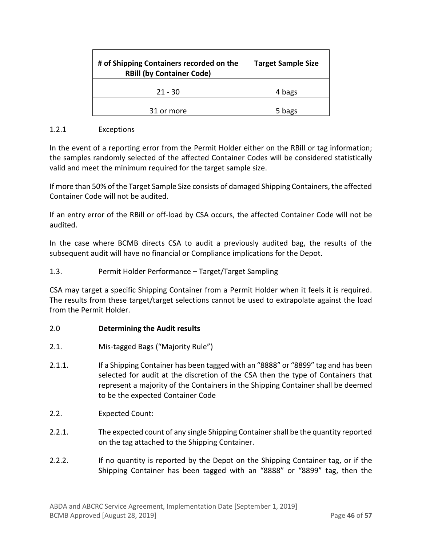| # of Shipping Containers recorded on the<br><b>RBill (by Container Code)</b> | <b>Target Sample Size</b> |
|------------------------------------------------------------------------------|---------------------------|
| $21 - 30$                                                                    | 4 bags                    |
| 31 or more                                                                   | 5 bags                    |

### 1.2.1 Exceptions

In the event of a reporting error from the Permit Holder either on the RBill or tag information; the samples randomly selected of the affected Container Codes will be considered statistically valid and meet the minimum required for the target sample size.

If more than 50% of the Target Sample Size consists of damaged Shipping Containers, the affected Container Code will not be audited.

If an entry error of the RBill or off-load by CSA occurs, the affected Container Code will not be audited.

In the case where BCMB directs CSA to audit a previously audited bag, the results of the subsequent audit will have no financial or Compliance implications for the Depot.

# 1.3. Permit Holder Performance – Target/Target Sampling

CSA may target a specific Shipping Container from a Permit Holder when it feels it is required. The results from these target/target selections cannot be used to extrapolate against the load from the Permit Holder.

#### 2.0 **Determining the Audit results**

- 2.1. Mis-tagged Bags ("Majority Rule")
- 2.1.1. If a Shipping Container has been tagged with an "8888" or "8899" tag and has been selected for audit at the discretion of the CSA then the type of Containers that represent a majority of the Containers in the Shipping Container shall be deemed to be the expected Container Code
- 2.2. Expected Count:
- 2.2.1. The expected count of any single Shipping Container shall be the quantity reported on the tag attached to the Shipping Container.
- 2.2.2. If no quantity is reported by the Depot on the Shipping Container tag, or if the Shipping Container has been tagged with an "8888" or "8899" tag, then the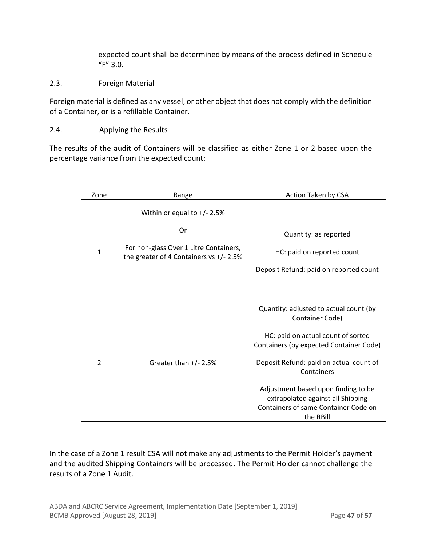expected count shall be determined by means of the process defined in Schedule "F" 3.0.

# 2.3. Foreign Material

Foreign material is defined as any vessel, or other object that does not comply with the definition of a Container, or is a refillable Container.

#### 2.4. Applying the Results

The results of the audit of Containers will be classified as either Zone 1 or 2 based upon the percentage variance from the expected count:

| Zone           | Range                                                                                                                       | Action Taken by CSA                                                                                                                                                                                                                                                                                                                  |
|----------------|-----------------------------------------------------------------------------------------------------------------------------|--------------------------------------------------------------------------------------------------------------------------------------------------------------------------------------------------------------------------------------------------------------------------------------------------------------------------------------|
| 1              | Within or equal to $+/- 2.5%$<br>Or<br>For non-glass Over 1 Litre Containers,<br>the greater of 4 Containers vs $+/- 2.5\%$ | Quantity: as reported<br>HC: paid on reported count<br>Deposit Refund: paid on reported count                                                                                                                                                                                                                                        |
| $\overline{2}$ | Greater than $+/- 2.5%$                                                                                                     | Quantity: adjusted to actual count (by<br>Container Code)<br>HC: paid on actual count of sorted<br>Containers (by expected Container Code)<br>Deposit Refund: paid on actual count of<br>Containers<br>Adjustment based upon finding to be<br>extrapolated against all Shipping<br>Containers of same Container Code on<br>the RBill |

In the case of a Zone 1 result CSA will not make any adjustments to the Permit Holder's payment and the audited Shipping Containers will be processed. The Permit Holder cannot challenge the results of a Zone 1 Audit.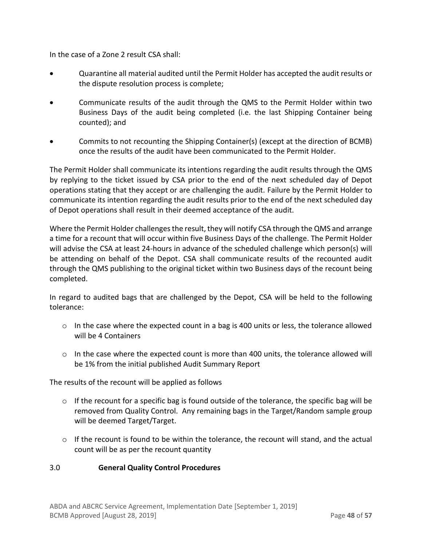In the case of a Zone 2 result CSA shall:

- Quarantine all material audited until the Permit Holder has accepted the audit results or the dispute resolution process is complete;
- Communicate results of the audit through the QMS to the Permit Holder within two Business Days of the audit being completed (i.e. the last Shipping Container being counted); and
- Commits to not recounting the Shipping Container(s) (except at the direction of BCMB) once the results of the audit have been communicated to the Permit Holder.

The Permit Holder shall communicate its intentions regarding the audit results through the QMS by replying to the ticket issued by CSA prior to the end of the next scheduled day of Depot operations stating that they accept or are challenging the audit. Failure by the Permit Holder to communicate its intention regarding the audit results prior to the end of the next scheduled day of Depot operations shall result in their deemed acceptance of the audit.

Where the Permit Holder challenges the result, they will notify CSA through the QMS and arrange a time for a recount that will occur within five Business Days of the challenge. The Permit Holder will advise the CSA at least 24-hours in advance of the scheduled challenge which person(s) will be attending on behalf of the Depot. CSA shall communicate results of the recounted audit through the QMS publishing to the original ticket within two Business days of the recount being completed.

In regard to audited bags that are challenged by the Depot, CSA will be held to the following tolerance:

- o In the case where the expected count in a bag is 400 units or less, the tolerance allowed will be 4 Containers
- $\circ$  In the case where the expected count is more than 400 units, the tolerance allowed will be 1% from the initial published Audit Summary Report

The results of the recount will be applied as follows

- $\circ$  If the recount for a specific bag is found outside of the tolerance, the specific bag will be removed from Quality Control. Any remaining bags in the Target/Random sample group will be deemed Target/Target.
- o If the recount is found to be within the tolerance, the recount will stand, and the actual count will be as per the recount quantity

# 3.0 **General Quality Control Procedures**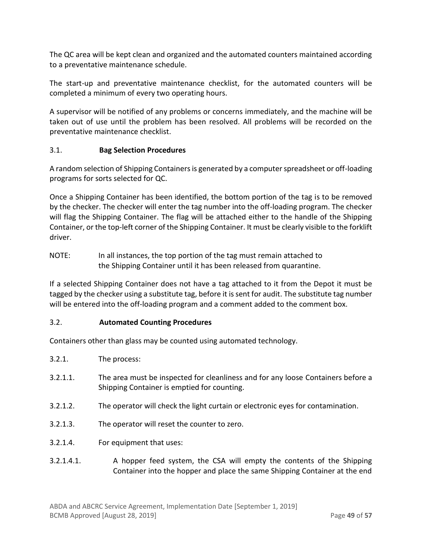The QC area will be kept clean and organized and the automated counters maintained according to a preventative maintenance schedule.

The start-up and preventative maintenance checklist, for the automated counters will be completed a minimum of every two operating hours.

A supervisor will be notified of any problems or concerns immediately, and the machine will be taken out of use until the problem has been resolved. All problems will be recorded on the preventative maintenance checklist.

# 3.1. **Bag Selection Procedures**

A random selection of Shipping Containers is generated by a computer spreadsheet or off-loading programs for sorts selected for QC.

Once a Shipping Container has been identified, the bottom portion of the tag is to be removed by the checker. The checker will enter the tag number into the off-loading program. The checker will flag the Shipping Container. The flag will be attached either to the handle of the Shipping Container, or the top-left corner of the Shipping Container. It must be clearly visible to the forklift driver.

NOTE: In all instances, the top portion of the tag must remain attached to the Shipping Container until it has been released from quarantine.

If a selected Shipping Container does not have a tag attached to it from the Depot it must be tagged by the checker using a substitute tag, before it is sent for audit. The substitute tag number will be entered into the off-loading program and a comment added to the comment box.

#### 3.2. **Automated Counting Procedures**

Containers other than glass may be counted using automated technology.

- 3.2.1. The process:
- 3.2.1.1. The area must be inspected for cleanliness and for any loose Containers before a Shipping Container is emptied for counting.
- 3.2.1.2. The operator will check the light curtain or electronic eyes for contamination.
- 3.2.1.3. The operator will reset the counter to zero.
- 3.2.1.4. For equipment that uses:
- 3.2.1.4.1. A hopper feed system, the CSA will empty the contents of the Shipping Container into the hopper and place the same Shipping Container at the end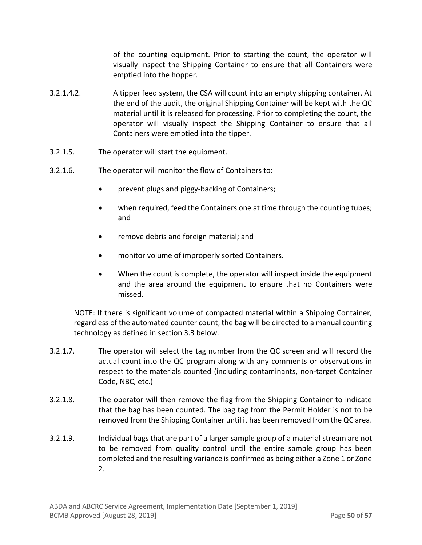of the counting equipment. Prior to starting the count, the operator will visually inspect the Shipping Container to ensure that all Containers were emptied into the hopper.

- 3.2.1.4.2. A tipper feed system, the CSA will count into an empty shipping container. At the end of the audit, the original Shipping Container will be kept with the QC material until it is released for processing. Prior to completing the count, the operator will visually inspect the Shipping Container to ensure that all Containers were emptied into the tipper.
- 3.2.1.5. The operator will start the equipment.
- 3.2.1.6. The operator will monitor the flow of Containers to:
	- prevent plugs and piggy-backing of Containers;
	- when required, feed the Containers one at time through the counting tubes; and
	- remove debris and foreign material; and
	- monitor volume of improperly sorted Containers.
	- When the count is complete, the operator will inspect inside the equipment and the area around the equipment to ensure that no Containers were missed.

NOTE: If there is significant volume of compacted material within a Shipping Container, regardless of the automated counter count, the bag will be directed to a manual counting technology as defined in section 3.3 below.

- 3.2.1.7. The operator will select the tag number from the QC screen and will record the actual count into the QC program along with any comments or observations in respect to the materials counted (including contaminants, non-target Container Code, NBC, etc.)
- 3.2.1.8. The operator will then remove the flag from the Shipping Container to indicate that the bag has been counted. The bag tag from the Permit Holder is not to be removed from the Shipping Container until it has been removed from the QC area.
- 3.2.1.9. Individual bags that are part of a larger sample group of a material stream are not to be removed from quality control until the entire sample group has been completed and the resulting variance is confirmed as being either a Zone 1 or Zone 2.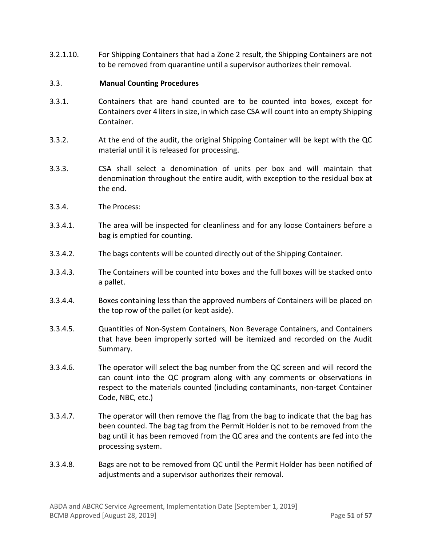3.2.1.10. For Shipping Containers that had a Zone 2 result, the Shipping Containers are not to be removed from quarantine until a supervisor authorizes their removal.

#### 3.3. **Manual Counting Procedures**

- 3.3.1. Containers that are hand counted are to be counted into boxes, except for Containers over 4 liters in size, in which case CSA will count into an empty Shipping Container.
- 3.3.2. At the end of the audit, the original Shipping Container will be kept with the QC material until it is released for processing.
- 3.3.3. CSA shall select a denomination of units per box and will maintain that denomination throughout the entire audit, with exception to the residual box at the end.
- 3.3.4. The Process:
- 3.3.4.1. The area will be inspected for cleanliness and for any loose Containers before a bag is emptied for counting.
- 3.3.4.2. The bags contents will be counted directly out of the Shipping Container.
- 3.3.4.3. The Containers will be counted into boxes and the full boxes will be stacked onto a pallet.
- 3.3.4.4. Boxes containing less than the approved numbers of Containers will be placed on the top row of the pallet (or kept aside).
- 3.3.4.5. Quantities of Non-System Containers, Non Beverage Containers, and Containers that have been improperly sorted will be itemized and recorded on the Audit Summary.
- 3.3.4.6. The operator will select the bag number from the QC screen and will record the can count into the QC program along with any comments or observations in respect to the materials counted (including contaminants, non-target Container Code, NBC, etc.)
- 3.3.4.7. The operator will then remove the flag from the bag to indicate that the bag has been counted. The bag tag from the Permit Holder is not to be removed from the bag until it has been removed from the QC area and the contents are fed into the processing system.
- 3.3.4.8. Bags are not to be removed from QC until the Permit Holder has been notified of adjustments and a supervisor authorizes their removal.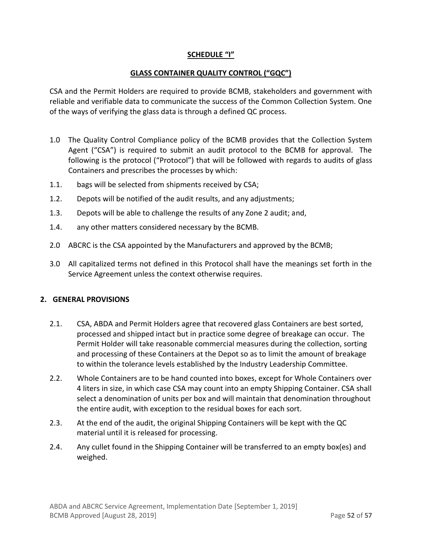# **SCHEDULE "I"**

### **GLASS CONTAINER QUALITY CONTROL ("GQC")**

CSA and the Permit Holders are required to provide BCMB, stakeholders and government with reliable and verifiable data to communicate the success of the Common Collection System. One of the ways of verifying the glass data is through a defined QC process.

- 1.0 The Quality Control Compliance policy of the BCMB provides that the Collection System Agent ("CSA") is required to submit an audit protocol to the BCMB for approval. The following is the protocol ("Protocol") that will be followed with regards to audits of glass Containers and prescribes the processes by which:
- 1.1. bags will be selected from shipments received by CSA;
- 1.2. Depots will be notified of the audit results, and any adjustments;
- 1.3. Depots will be able to challenge the results of any Zone 2 audit; and,
- 1.4. any other matters considered necessary by the BCMB.
- 2.0 ABCRC is the CSA appointed by the Manufacturers and approved by the BCMB;
- 3.0 All capitalized terms not defined in this Protocol shall have the meanings set forth in the Service Agreement unless the context otherwise requires.

#### **2. GENERAL PROVISIONS**

- 2.1. CSA, ABDA and Permit Holders agree that recovered glass Containers are best sorted, processed and shipped intact but in practice some degree of breakage can occur. The Permit Holder will take reasonable commercial measures during the collection, sorting and processing of these Containers at the Depot so as to limit the amount of breakage to within the tolerance levels established by the Industry Leadership Committee.
- 2.2. Whole Containers are to be hand counted into boxes, except for Whole Containers over 4 liters in size, in which case CSA may count into an empty Shipping Container. CSA shall select a denomination of units per box and will maintain that denomination throughout the entire audit, with exception to the residual boxes for each sort.
- 2.3. At the end of the audit, the original Shipping Containers will be kept with the QC material until it is released for processing.
- 2.4. Any cullet found in the Shipping Container will be transferred to an empty box(es) and weighed.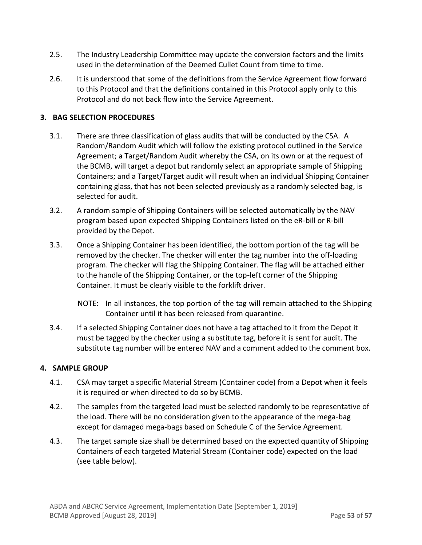- 2.5. The Industry Leadership Committee may update the conversion factors and the limits used in the determination of the Deemed Cullet Count from time to time.
- 2.6. It is understood that some of the definitions from the Service Agreement flow forward to this Protocol and that the definitions contained in this Protocol apply only to this Protocol and do not back flow into the Service Agreement.

# **3. BAG SELECTION PROCEDURES**

- 3.1. There are three classification of glass audits that will be conducted by the CSA. A Random/Random Audit which will follow the existing protocol outlined in the Service Agreement; a Target/Random Audit whereby the CSA, on its own or at the request of the BCMB, will target a depot but randomly select an appropriate sample of Shipping Containers; and a Target/Target audit will result when an individual Shipping Container containing glass, that has not been selected previously as a randomly selected bag, is selected for audit.
- 3.2. A random sample of Shipping Containers will be selected automatically by the NAV program based upon expected Shipping Containers listed on the eR-bill or R-bill provided by the Depot.
- 3.3. Once a Shipping Container has been identified, the bottom portion of the tag will be removed by the checker. The checker will enter the tag number into the off-loading program. The checker will flag the Shipping Container. The flag will be attached either to the handle of the Shipping Container, or the top-left corner of the Shipping Container. It must be clearly visible to the forklift driver.
	- NOTE: In all instances, the top portion of the tag will remain attached to the Shipping Container until it has been released from quarantine.
- 3.4. If a selected Shipping Container does not have a tag attached to it from the Depot it must be tagged by the checker using a substitute tag, before it is sent for audit. The substitute tag number will be entered NAV and a comment added to the comment box.

#### **4. SAMPLE GROUP**

- 4.1. CSA may target a specific Material Stream (Container code) from a Depot when it feels it is required or when directed to do so by BCMB.
- 4.2. The samples from the targeted load must be selected randomly to be representative of the load. There will be no consideration given to the appearance of the mega-bag except for damaged mega-bags based on Schedule C of the Service Agreement.
- 4.3. The target sample size shall be determined based on the expected quantity of Shipping Containers of each targeted Material Stream (Container code) expected on the load (see table below).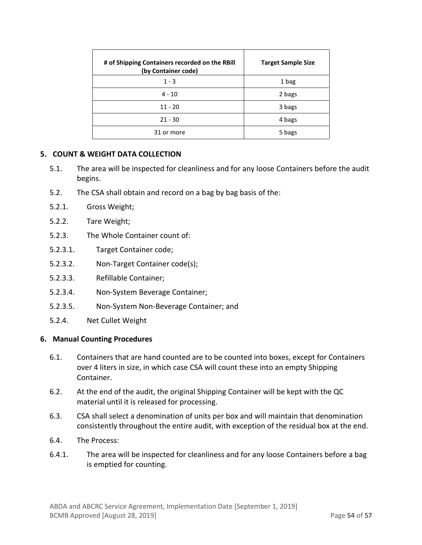| # of Shipping Containers recorded on the RBill<br>(by Container code) | <b>Target Sample Size</b> |
|-----------------------------------------------------------------------|---------------------------|
| $1 - 3$                                                               | 1 bag                     |
| $4 - 10$                                                              | 2 bags                    |
| $11 - 20$                                                             | 3 bags                    |
| $21 - 30$                                                             | 4 bags                    |
| 31 or more                                                            | 5 bags                    |

#### **5. COUNT & WEIGHT DATA COLLECTION**

- 5.1. The area will be inspected for cleanliness and for any loose Containers before the audit begins.
- 5.2. The CSA shall obtain and record on a bag by bag basis of the:
- 5.2.1. Gross Weight;
- 5.2.2. Tare Weight;
- 5.2.3. The Whole Container count of:
- 5.2.3.1. Target Container code;
- 5.2.3.2. Non-Target Container code(s);
- 5.2.3.3. Refillable Container;
- 5.2.3.4. Non-System Beverage Container;
- 5.2.3.5. Non-System Non-Beverage Container; and
- 5.2.4. Net Cullet Weight

#### **6. Manual Counting Procedures**

- 6.1. Containers that are hand counted are to be counted into boxes, except for Containers over 4 liters in size, in which case CSA will count these into an empty Shipping Container.
- 6.2. At the end of the audit, the original Shipping Container will be kept with the QC material until it is released for processing.
- 6.3. CSA shall select a denomination of units per box and will maintain that denomination consistently throughout the entire audit, with exception of the residual box at the end.
- 6.4. The Process:
- 6.4.1. The area will be inspected for cleanliness and for any loose Containers before a bag is emptied for counting.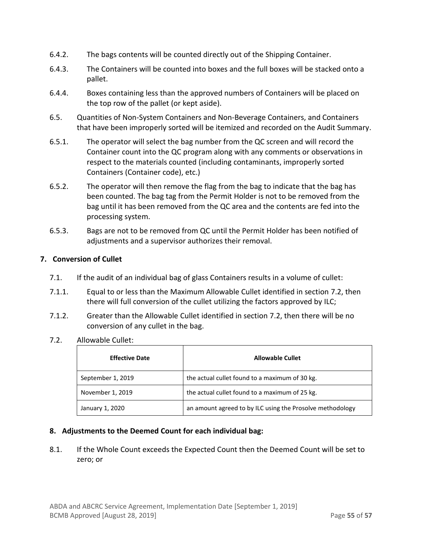- 6.4.2. The bags contents will be counted directly out of the Shipping Container.
- 6.4.3. The Containers will be counted into boxes and the full boxes will be stacked onto a pallet.
- 6.4.4. Boxes containing less than the approved numbers of Containers will be placed on the top row of the pallet (or kept aside).
- 6.5. Quantities of Non-System Containers and Non-Beverage Containers, and Containers that have been improperly sorted will be itemized and recorded on the Audit Summary.
- 6.5.1. The operator will select the bag number from the QC screen and will record the Container count into the QC program along with any comments or observations in respect to the materials counted (including contaminants, improperly sorted Containers (Container code), etc.)
- 6.5.2. The operator will then remove the flag from the bag to indicate that the bag has been counted. The bag tag from the Permit Holder is not to be removed from the bag until it has been removed from the QC area and the contents are fed into the processing system.
- 6.5.3. Bags are not to be removed from QC until the Permit Holder has been notified of adjustments and a supervisor authorizes their removal.

# **7. Conversion of Cullet**

- 7.1. If the audit of an individual bag of glass Containers results in a volume of cullet:
- 7.1.1. Equal to or less than the Maximum Allowable Cullet identified in section 7.2, then there will full conversion of the cullet utilizing the factors approved by ILC;
- 7.1.2. Greater than the Allowable Cullet identified in section 7.2, then there will be no conversion of any cullet in the bag.
- 7.2. Allowable Cullet:

| <b>Effective Date</b> | <b>Allowable Cullet</b>                                   |
|-----------------------|-----------------------------------------------------------|
| September 1, 2019     | the actual cullet found to a maximum of 30 kg.            |
| November 1, 2019      | the actual cullet found to a maximum of 25 kg.            |
| January 1, 2020       | an amount agreed to by ILC using the Prosolve methodology |

#### **8. Adjustments to the Deemed Count for each individual bag:**

8.1. If the Whole Count exceeds the Expected Count then the Deemed Count will be set to zero; or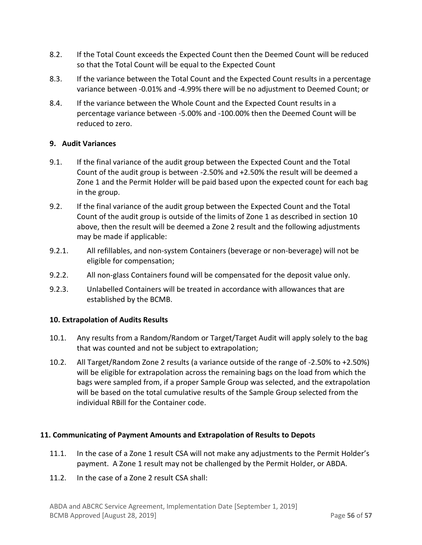- 8.2. If the Total Count exceeds the Expected Count then the Deemed Count will be reduced so that the Total Count will be equal to the Expected Count
- 8.3. If the variance between the Total Count and the Expected Count results in a percentage variance between -0.01% and -4.99% there will be no adjustment to Deemed Count; or
- 8.4. If the variance between the Whole Count and the Expected Count results in a percentage variance between -5.00% and -100.00% then the Deemed Count will be reduced to zero.

# **9. Audit Variances**

- 9.1. If the final variance of the audit group between the Expected Count and the Total Count of the audit group is between -2.50% and +2.50% the result will be deemed a Zone 1 and the Permit Holder will be paid based upon the expected count for each bag in the group.
- 9.2. If the final variance of the audit group between the Expected Count and the Total Count of the audit group is outside of the limits of Zone 1 as described in section 10 above, then the result will be deemed a Zone 2 result and the following adjustments may be made if applicable:
- 9.2.1. All refillables, and non-system Containers (beverage or non-beverage) will not be eligible for compensation;
- 9.2.2. All non-glass Containers found will be compensated for the deposit value only.
- 9.2.3. Unlabelled Containers will be treated in accordance with allowances that are established by the BCMB.

# **10. Extrapolation of Audits Results**

- 10.1. Any results from a Random/Random or Target/Target Audit will apply solely to the bag that was counted and not be subject to extrapolation;
- 10.2. All Target/Random Zone 2 results (a variance outside of the range of -2.50% to +2.50%) will be eligible for extrapolation across the remaining bags on the load from which the bags were sampled from, if a proper Sample Group was selected, and the extrapolation will be based on the total cumulative results of the Sample Group selected from the individual RBill for the Container code.

# **11. Communicating of Payment Amounts and Extrapolation of Results to Depots**

- 11.1. In the case of a Zone 1 result CSA will not make any adjustments to the Permit Holder's payment. A Zone 1 result may not be challenged by the Permit Holder, or ABDA.
- 11.2. In the case of a Zone 2 result CSA shall: